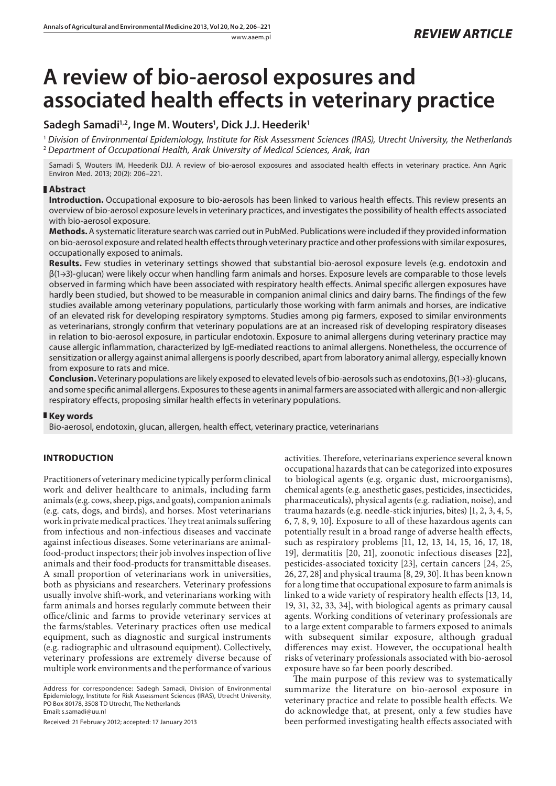# **A review of bio-aerosol exposures and associated health effects in veterinary practice**

# **Sadegh Samadi1,2, Inge M. Wouters1 , Dick J.J. Heederik1**

<sup>1</sup> *Division of Environmental Epidemiology, Institute for Risk Assessment Sciences (IRAS), Utrecht University, the Netherlands* <sup>2</sup> *Department of Occupational Health, Arak University of Medical Sciences, Arak, Iran*

Samadi S, Wouters IM, Heederik DJJ. A review of bio-aerosol exposures and associated health effects in veterinary practice. Ann Agric Environ Med. 2013; 20(2): 206–221.

# **Abstract**

**Introduction.** Occupational exposure to bio-aerosols has been linked to various health effects. This review presents an overview of bio-aerosol exposure levels in veterinary practices, and investigates the possibility of health effects associated with bio-aerosol exposure.

**Methods.** A systematic literature search was carried out in PubMed. Publications were included if they provided information on bio-aerosol exposure and related health effects through veterinary practice and other professions with similar exposures, occupationally exposed to animals.

**Results.** Few studies in veterinary settings showed that substantial bio-aerosol exposure levels (e.g. endotoxin and β(1→3)-glucan) were likely occur when handling farm animals and horses. Exposure levels are comparable to those levels observed in farming which have been associated with respiratory health effects. Animal specific allergen exposures have hardly been studied, but showed to be measurable in companion animal clinics and dairy barns. The findings of the few studies available among veterinary populations, particularly those working with farm animals and horses, are indicative of an elevated risk for developing respiratory symptoms. Studies among pig farmers, exposed to similar environments as veterinarians, strongly confirm that veterinary populations are at an increased risk of developing respiratory diseases in relation to bio-aerosol exposure, in particular endotoxin. Exposure to animal allergens during veterinary practice may cause allergic inflammation, characterized by IgE-mediated reactions to animal allergens. Nonetheless, the occurrence of sensitization or allergy against animal allergens is poorly described, apart from laboratory animal allergy, especially known from exposure to rats and mice.

**Conclusion.** Veterinary populations are likely exposed to elevated levels of bio-aerosols such as endotoxins, β(1→3)-glucans, and some specific animal allergens. Exposures to these agents in animal farmers are associated with allergic and non-allergic respiratory effects, proposing similar health effects in veterinary populations.

# **Key words**

Bio-aerosol, endotoxin, glucan, allergen, health effect, veterinary practice, veterinarians

# **INTRODUCTION**

Practitioners of veterinary medicine typically perform clinical work and deliver healthcare to animals, including farm animals (e.g. cows, sheep, pigs, and goats), companion animals (e.g. cats, dogs, and birds), and horses. Most veterinarians work in private medical practices. They treat animals suffering from infectious and non-infectious diseases and vaccinate against infectious diseases. Some veterinarians are animalfood-product inspectors; their job involves inspection of live animals and their food-products for transmittable diseases. A small proportion of veterinarians work in universities, both as physicians and researchers. Veterinary professions usually involve shift-work, and veterinarians working with farm animals and horses regularly commute between their office/clinic and farms to provide veterinary services at the farms/stables. Veterinary practices often use medical equipment, such as diagnostic and surgical instruments (e.g. radiographic and ultrasound equipment). Collectively, veterinary professions are extremely diverse because of multiple work environments and the performance of various

Received: 21 February 2012; accepted: 17 January 2013

activities. Therefore, veterinarians experience several known occupational hazards that can be categorized into exposures to biological agents (e.g. organic dust, microorganisms), chemical agents (e.g. anesthetic gases, pesticides, insecticides, pharmaceuticals), physical agents (e.g. radiation, noise), and trauma hazards (e.g. needle-stick injuries, bites) [1, 2, 3, 4, 5, 6, 7, 8, 9, 10]. Exposure to all of these hazardous agents can potentially result in a broad range of adverse health effects, such as respiratory problems [11, 12, 13, 14, 15, 16, 17, 18, 19], dermatitis [20, 21], zoonotic infectious diseases [22], pesticides-associated toxicity [23], certain cancers [24, 25, 26, 27, 28] and physical trauma [8, 29, 30]. It has been known for a long time that occupational exposure to farm animals is linked to a wide variety of respiratory health effects [13, 14, 19, 31, 32, 33, 34], with biological agents as primary causal agents. Working conditions of veterinary professionals are to a large extent comparable to farmers exposed to animals with subsequent similar exposure, although gradual differences may exist. However, the occupational health risks of veterinary professionals associated with bio-aerosol exposure have so far been poorly described.

The main purpose of this review was to systematically summarize the literature on bio-aerosol exposure in veterinary practice and relate to possible health effects. We do acknowledge that, at present, only a few studies have been performed investigating health effects associated with

Address for correspondence: Sadegh Samadi, Division of Environmental Epidemiology, Institute for Risk Assessment Sciences (IRAS), Utrecht University, PO Box 80178, 3508 TD Utrecht, The Netherlands Email: s.samadi@uu.nl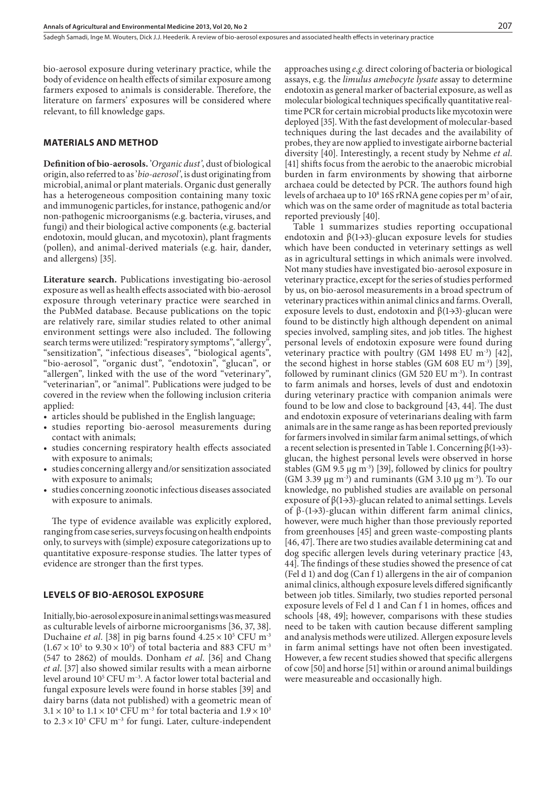bio-aerosol exposure during veterinary practice, while the body of evidence on health effects of similar exposure among farmers exposed to animals is considerable. Therefore, the literature on farmers' exposures will be considered where relevant, to fill knowledge gaps.

## **MATERIALS AND METHOD**

**Definition of bio-aerosols.** '*Organic dust'*, dust of biological origin, also referred to as '*bio-aerosol'*, is dust originating from microbial, animal or plant materials. Organic dust generally has a heterogeneous composition containing many toxic and immunogenic particles, for instance, pathogenic and/or non-pathogenic microorganisms (e.g*.* bacteria, viruses, and fungi) and their biological active components (e.g. bacterial endotoxin, mould glucan, and mycotoxin), plant fragments (pollen), and animal-derived materials (e.g. hair, dander, and allergens) [35].

**Literature search.** Publications investigating bio-aerosol exposure as well as health effects associated with bio-aerosol exposure through veterinary practice were searched in the PubMed database. Because publications on the topic are relatively rare, similar studies related to other animal environment settings were also included. The following search terms were utilized: "respiratory symptoms", "allergy", "sensitization", "infectious diseases", "biological agents", "bio-aerosol", "organic dust", "endotoxin", "glucan", or "allergen", linked with the use of the word "veterinary", "veterinarian", or "animal". Publications were judged to be covered in the review when the following inclusion criteria applied:

- articles should be published in the English language;
- studies reporting bio-aerosol measurements during contact with animals;
- • studies concerning respiratory health effects associated with exposure to animals;
- • studies concerning allergy and/or sensitization associated with exposure to animals;
- studies concerning zoonotic infectious diseases associated with exposure to animals.

The type of evidence available was explicitly explored, ranging from case series, surveys focusing on health endpoints only, to surveys with (simple) exposure categorizations up to quantitative exposure-response studies. The latter types of evidence are stronger than the first types.

# **Levels of bio-aerosol exposure**

Initially, bio-aerosol exposure in animal settings was measured as culturable levels of airborne microorganisms [36, 37, 38]. Duchaine *et al*. [38] in pig barns found 4.25 × 10<sup>5</sup> CFU m<sup>-3</sup>  $(1.67 \times 10^5 \text{ to } 9.30 \times 10^5)$  of total bacteria and 883 CFU m<sup>-3</sup> (547 to 2862) of moulds. Donham *et al*. [36] and Chang *et al*. [37] also showed similar results with a mean airborne level around 105 CFU m−3. A factor lower total bacterial and fungal exposure levels were found in horse stables [39] and dairy barns (data not published) with a geometric mean of  $3.1 \times 10^3$  to  $1.1 \times 10^4$  CFU m<sup>-3</sup> for total bacteria and  $1.9 \times 10^3$ to  $2.3 \times 10^3$  CFU m<sup>-3</sup> for fungi. Later, culture-independent approaches using *e.g*. direct coloring of bacteria or biological assays, e.g. the *limulus amebocyte lysate* assay to determine endotoxin as general marker of bacterial exposure, as well as molecular biological techniques specifically quantitative realtime PCR for certain microbial products like mycotoxin were deployed [35]. With the fast development of molecular-based techniques during the last decades and the availability of probes, they are now applied to investigate airborne bacterial diversity [40]. Interestingly, a recent study by Nehme *et al*. [41] shifts focus from the aerobic to the anaerobic microbial burden in farm environments by showing that airborne archaea could be detected by PCR. The authors found high levels of archaea up to 10<sup>8</sup> 16S rRNA gene copies per m<sup>3</sup> of air, which was on the same order of magnitude as total bacteria reported previously [40].

Table 1 summarizes studies reporting occupational endotoxin and  $\beta(1\rightarrow3)$ -glucan exposure levels for studies which have been conducted in veterinary settings as well as in agricultural settings in which animals were involved. Not many studies have investigated bio-aerosol exposure in veterinary practice, except for the series of studies performed by us, on bio-aerosol measurements in a broad spectrum of veterinary practices within animal clinics and farms. Overall, exposure levels to dust, endotoxin and  $\beta(1\rightarrow3)$ -glucan were found to be distinctly high although dependent on animal species involved, sampling sites, and job titles. The highest personal levels of endotoxin exposure were found during veterinary practice with poultry (GM 1498 EU m<sup>-3</sup>) [42], the second highest in horse stables (GM 608 EU m<sup>-3</sup>) [39], followed by ruminant clinics (GM 520 EU m<sup>-3</sup>). In contrast to farm animals and horses, levels of dust and endotoxin during veterinary practice with companion animals were found to be low and close to background [43, 44]. The dust and endotoxin exposure of veterinarians dealing with farm animals are in the same range as has been reported previously for farmers involved in similar farm animal settings, of which a recent selection is presented in Table 1. Concerning  $\beta(1\rightarrow3)$ glucan, the highest personal levels were observed in horse stables (GM 9.5 µg m<sup>-3</sup>) [39], followed by clinics for poultry (GM 3.39  $\mu$ g m<sup>-3</sup>) and ruminants (GM 3.10  $\mu$ g m<sup>-3</sup>). To our knowledge, no published studies are available on personal exposure of  $\beta$ (1→3)-glucan related to animal settings. Levels of β-(1→3)-glucan within different farm animal clinics, however, were much higher than those previously reported from greenhouses [45] and green waste-composting plants [46, 47]. There are two studies available determining cat and dog specific allergen levels during veterinary practice [43, 44]. The findings of these studies showed the presence of cat (Fel d 1) and dog (Can f 1) allergens in the air of companion animal clinics, although exposure levels differed significantly between job titles. Similarly, two studies reported personal exposure levels of Fel d 1 and Can f 1 in homes, offices and schools [48, 49]; however, comparisons with these studies need to be taken with caution because different sampling and analysis methods were utilized. Allergen exposure levels in farm animal settings have not often been investigated. However, a few recent studies showed that specific allergens of cow [50] and horse [51] within or around animal buildings were measureable and occasionally high.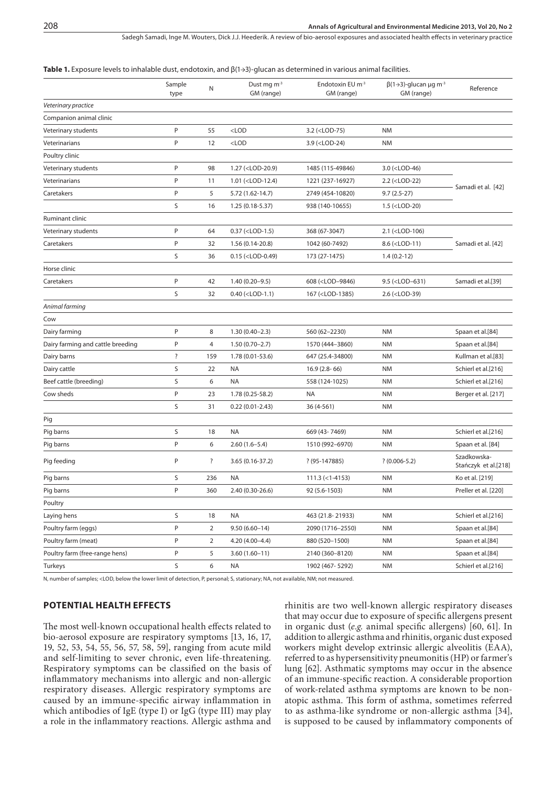Sadegh Samadi, Inge M. Wouters, Dick J.J. Heederik. A review of bio-aerosol exposures and associated health effects in veterinary practice

#### **Table 1.** Exposure levels to inhalable dust, endotoxin, and β(1→3)-glucan as determined in various animal facilities.

|                                   | Sample<br>type | N              | Dust mg m <sup>-3</sup><br>GM (range)                                                                                                 | Endotoxin EU m <sup>-3</sup><br>GM (range)                                                                 | $\beta$ (1→3)-glucan µg m <sup>-3</sup><br>GM (range)         | Reference                           |
|-----------------------------------|----------------|----------------|---------------------------------------------------------------------------------------------------------------------------------------|------------------------------------------------------------------------------------------------------------|---------------------------------------------------------------|-------------------------------------|
| Veterinary practice               |                |                |                                                                                                                                       |                                                                                                            |                                                               |                                     |
| Companion animal clinic           |                |                |                                                                                                                                       |                                                                                                            |                                                               |                                     |
| Veterinary students               | P              | 55             | $<$ LOD                                                                                                                               | 3.2 ( <lod-75)< td=""><td><b>NM</b></td><td></td></lod-75)<>                                               | <b>NM</b>                                                     |                                     |
| Veterinarians                     | P              | 12             | $<$ LOD                                                                                                                               | 3.9 ( <lod-24)< td=""><td><b>NM</b></td><td></td></lod-24)<>                                               | <b>NM</b>                                                     |                                     |
| Poultry clinic                    |                |                |                                                                                                                                       |                                                                                                            |                                                               |                                     |
| Veterinary students               | $\mathsf{P}$   | 98             | 1.27 ( <lod-20.9)< td=""><td>1485 (115-49846)</td><td>3.0 (<lod-46)< td=""><td></td></lod-46)<></td></lod-20.9)<>                     | 1485 (115-49846)                                                                                           | 3.0 ( <lod-46)< td=""><td></td></lod-46)<>                    |                                     |
| Veterinarians                     | P              | 11             | 1.01 ( <lod-12.4)< td=""><td>1221 (237-16927)</td><td>2.2 (<lod-22)< td=""><td></td></lod-22)<></td></lod-12.4)<>                     | 1221 (237-16927)                                                                                           | 2.2 ( <lod-22)< td=""><td></td></lod-22)<>                    |                                     |
| Caretakers                        | P              | 5              | 5.72 (1.62-14.7)                                                                                                                      | 2749 (454-10820)                                                                                           | $9.7(2.5-27)$                                                 | Samadi et al. [42]                  |
|                                   | S              | 16             | $1.25(0.18-5.37)$                                                                                                                     | 938 (140-10655)                                                                                            | 1.5 ( <lod-20)< td=""><td></td></lod-20)<>                    |                                     |
| Ruminant clinic                   |                |                |                                                                                                                                       |                                                                                                            |                                                               |                                     |
| Veterinary students               | $\sf P$        | 64             | 0.37 ( <lod-1.5)< td=""><td>368 (67-3047)</td><td>2.1 (<lod-106)< td=""><td></td></lod-106)<></td></lod-1.5)<>                        | 368 (67-3047)                                                                                              | 2.1 ( <lod-106)< td=""><td></td></lod-106)<>                  |                                     |
| Caretakers                        | P              | 32             | 1.56 (0.14-20.8)                                                                                                                      | 1042 (60-7492)                                                                                             | 8.6 ( <lod-11)< td=""><td>Samadi et al. [42]</td></lod-11)<>  | Samadi et al. [42]                  |
|                                   | S              | 36             | $0.15$ ( <lod-0.49)< td=""><td>173 (27-1475)</td><td><math>1.4(0.2-12)</math></td><td></td></lod-0.49)<>                              | 173 (27-1475)                                                                                              | $1.4(0.2-12)$                                                 |                                     |
| Horse clinic                      |                |                |                                                                                                                                       |                                                                                                            |                                                               |                                     |
| Caretakers                        | P              | 42             | $1.40(0.20 - 9.5)$                                                                                                                    | 608 ( <lod-9846)< td=""><td>9.5 (<lod-631)< td=""><td>Samadi et al.[39]</td></lod-631)<></td></lod-9846)<> | 9.5 ( <lod-631)< td=""><td>Samadi et al.[39]</td></lod-631)<> | Samadi et al.[39]                   |
|                                   | S              | 32             | $0.40$ ( <lod-1.1)< td=""><td>167 (<lod-1385)< td=""><td>2.6 (<lod-39)< td=""><td></td></lod-39)<></td></lod-1385)<></td></lod-1.1)<> | 167 ( <lod-1385)< td=""><td>2.6 (<lod-39)< td=""><td></td></lod-39)<></td></lod-1385)<>                    | 2.6 ( <lod-39)< td=""><td></td></lod-39)<>                    |                                     |
| Animal farming                    |                |                |                                                                                                                                       |                                                                                                            |                                                               |                                     |
| Cow                               |                |                |                                                                                                                                       |                                                                                                            |                                                               |                                     |
| Dairy farming                     | P              | 8              | $1.30(0.40 - 2.3)$                                                                                                                    | 560 (62-2230)                                                                                              | <b>NM</b>                                                     | Spaan et al.[84]                    |
| Dairy farming and cattle breeding | P              | 4              | $1.50(0.70-2.7)$                                                                                                                      | 1570 (444-3860)                                                                                            | <b>NM</b>                                                     | Spaan et al.[84]                    |
| Dairy barns                       | ?              | 159            | 1.78 (0.01-53.6)                                                                                                                      | 647 (25.4-34800)                                                                                           | <b>NM</b>                                                     | Kullman et al.[83]                  |
| Dairy cattle                      | S              | 22             | NA                                                                                                                                    | $16.9(2.8-66)$                                                                                             | <b>NM</b>                                                     | Schierl et al.[216]                 |
| Beef cattle (breeding)            | S              | 6              | <b>NA</b>                                                                                                                             | 558 (124-1025)                                                                                             | <b>NM</b>                                                     | Schierl et al.[216]                 |
| Cow sheds                         | $\mathsf{P}$   | 23             | 1.78 (0.25-58.2)                                                                                                                      | <b>NA</b>                                                                                                  | <b>NM</b>                                                     | Berger et al. [217]                 |
|                                   | S              | 31             | $0.22(0.01 - 2.43)$                                                                                                                   | 36 (4-561)                                                                                                 | <b>NM</b>                                                     |                                     |
| Pig                               |                |                |                                                                                                                                       |                                                                                                            |                                                               |                                     |
| Pig barns                         | S              | 18             | <b>NA</b>                                                                                                                             | 669 (43-7469)                                                                                              | <b>NM</b>                                                     | Schierl et al.[216]                 |
| Pig barns                         | P              | 6              | $2.60(1.6 - 5.4)$                                                                                                                     | 1510 (992-6970)                                                                                            | <b>NM</b>                                                     | Spaan et al. [84]                   |
| Pig feeding                       | P              | ?              | 3.65 (0.16-37.2)                                                                                                                      | $? (95-147885)$                                                                                            | $? (0.006 - 5.2)$                                             | Szadkowska-<br>Stańczyk et al.[218] |
| Pig barns                         | S              | 236            | <b>NA</b>                                                                                                                             | $111.3$ (<1-4153)                                                                                          | <b>NM</b>                                                     | Ko et al. [219]                     |
| Pig barns                         | P              | 360            | 2.40 (0.30-26.6)                                                                                                                      | 92 (5.6-1503)                                                                                              | <b>NM</b>                                                     | Preller et al. [220]                |
| Poultry                           |                |                |                                                                                                                                       |                                                                                                            |                                                               |                                     |
| Laying hens                       | S              | 18             | NA                                                                                                                                    | 463 (21.8-21933)                                                                                           | <b>NM</b>                                                     | Schierl et al.[216]                 |
| Poultry farm (eggs)               | $\sf P$        | $\overline{2}$ | $9.50(6.60 - 14)$                                                                                                                     | 2090 (1716-2550)                                                                                           | <b>NM</b>                                                     | Spaan et al.[84]                    |
| Poultry farm (meat)               | P              | $\overline{2}$ | $4.20(4.00-4.4)$                                                                                                                      | 880 (520-1500)                                                                                             | <b>NM</b>                                                     | Spaan et al.[84]                    |
| Poultry farm (free-range hens)    | P              | 5              | $3.60(1.60 - 11)$                                                                                                                     | 2140 (360-8120)                                                                                            | <b>NM</b>                                                     | Spaan et al.[84]                    |
| Turkeys                           | S              | 6              | <b>NA</b>                                                                                                                             | 1902 (467-5292)                                                                                            | <b>NM</b>                                                     | Schierl et al.[216]                 |

N, number of samples; <LOD, below the lower limit of detection, P, personal; S, stationary; NA, not available, NM; not measured.

# **Potential health effects**

The most well-known occupational health effects related to bio-aerosol exposure are respiratory symptoms [13, 16, 17, 19, 52, 53, 54, 55, 56, 57, 58, 59], ranging from acute mild and self-limiting to sever chronic, even life-threatening. Respiratory symptoms can be classified on the basis of inflammatory mechanisms into allergic and non-allergic respiratory diseases. Allergic respiratory symptoms are caused by an immune-specific airway inflammation in which antibodies of IgE (type I) or IgG (type III) may play a role in the inflammatory reactions. Allergic asthma and

rhinitis are two well-known allergic respiratory diseases that may occur due to exposure of specific allergens present in organic dust (*e.g.* animal specific allergens) [60, 61]. In addition to allergic asthma and rhinitis, organic dust exposed workers might develop extrinsic allergic alveolitis (EAA), referred to as hypersensitivity pneumonitis (HP) or farmer's lung [62]. Asthmatic symptoms may occur in the absence of an immune-specific reaction. A considerable proportion of work-related asthma symptoms are known to be nonatopic asthma. This form of asthma, sometimes referred to as asthma-like syndrome or non-allergic asthma [34], is supposed to be caused by inflammatory components of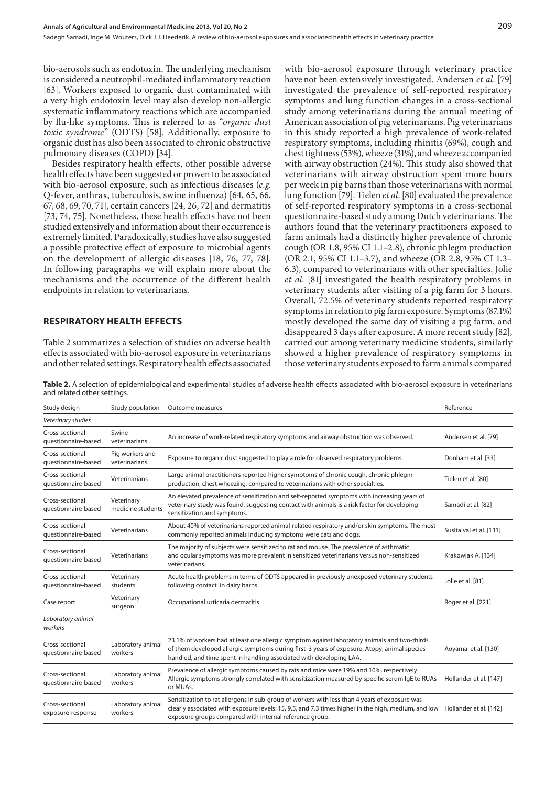bio-aerosols such as endotoxin. The underlying mechanism is considered a neutrophil-mediated inflammatory reaction [63]. Workers exposed to organic dust contaminated with a very high endotoxin level may also develop non-allergic systematic inflammatory reactions which are accompanied by flu-like symptoms. This is referred to as "*organic dust toxic syndrome*" (ODTS) [58]. Additionally, exposure to organic dust has also been associated to chronic obstructive pulmonary diseases (COPD) [34].

Besides respiratory health effects, other possible adverse health effects have been suggested or proven to be associated with bio-aerosol exposure, such as infectious diseases (*e.g.* Q-fever, anthrax, tuberculosis, swine influenza) [64, 65, 66, 67, 68, 69, 70, 71], certain cancers [24, 26, 72] and dermatitis [73, 74, 75]. Nonetheless, these health effects have not been studied extensively and information about their occurrence is extremely limited. Paradoxically, studies have also suggested a possible protective effect of exposure to microbial agents on the development of allergic diseases [18, 76, 77, 78]. In following paragraphs we will explain more about the mechanisms and the occurrence of the different health endpoints in relation to veterinarians.

# **Respiratory health effects**

Table 2 summarizes a selection of studies on adverse health effects associated with bio-aerosol exposure in veterinarians and other related settings. Respiratory health effects associated with bio-aerosol exposure through veterinary practice have not been extensively investigated. Andersen *et al*. [79] investigated the prevalence of self-reported respiratory symptoms and lung function changes in a cross-sectional study among veterinarians during the annual meeting of American association of pig veterinarians. Pig veterinarians in this study reported a high prevalence of work-related respiratory symptoms, including rhinitis (69%), cough and chest tightness (53%), wheeze (31%), and wheeze accompanied with airway obstruction (24%). This study also showed that veterinarians with airway obstruction spent more hours per week in pig barns than those veterinarians with normal lung function [79]. Tielen *et al*. [80] evaluated the prevalence of self-reported respiratory symptoms in a cross-sectional questionnaire-based study among Dutch veterinarians. The authors found that the veterinary practitioners exposed to farm animals had a distinctly higher prevalence of chronic cough (OR 1.8, 95% CI 1.1–2.8), chronic phlegm production (OR 2.1, 95% CI 1.1–3.7), and wheeze (OR 2.8, 95% CI 1.3– 6.3), compared to veterinarians with other specialties. Jolie *et al*. [81] investigated the health respiratory problems in veterinary students after visiting of a pig farm for 3 hours. Overall, 72.5% of veterinary students reported respiratory symptoms in relation to pig farm exposure. Symptoms (87.1%) mostly developed the same day of visiting a pig farm, and disappeared 3 days after exposure. A more recent study [82], carried out among veterinary medicine students, similarly showed a higher prevalence of respiratory symptoms in those veterinary students exposed to farm animals compared

**Table 2.** A selection of epidemiological and experimental studies of adverse health effects associated with bio-aerosol exposure in veterinarians and related other settings.

| Study design                           | Study population                 | Outcome measures                                                                                                                                                                                                                                                   | Reference               |
|----------------------------------------|----------------------------------|--------------------------------------------------------------------------------------------------------------------------------------------------------------------------------------------------------------------------------------------------------------------|-------------------------|
| Veterinary studies                     |                                  |                                                                                                                                                                                                                                                                    |                         |
| Cross-sectional<br>questionnaire-based | Swine<br>veterinarians           | An increase of work-related respiratory symptoms and airway obstruction was observed.                                                                                                                                                                              | Andersen et al. [79]    |
| Cross-sectional<br>questionnaire-based | Pig workers and<br>veterinarians | Exposure to organic dust suggested to play a role for observed respiratory problems.                                                                                                                                                                               | Donham et al. [33]      |
| Cross-sectional<br>questionnaire-based | Veterinarians                    | Large animal practitioners reported higher symptoms of chronic cough, chronic phlegm<br>production, chest wheezing, compared to veterinarians with other specialties.                                                                                              | Tielen et al. [80]      |
| Cross-sectional<br>questionnaire-based | Veterinary<br>medicine students  | An elevated prevalence of sensitization and self-reported symptoms with increasing years of<br>veterinary study was found, suggesting contact with animals is a risk factor for developing<br>sensitization and symptoms.                                          | Samadi et al. [82]      |
| Cross-sectional<br>questionnaire-based | Veterinarians                    | About 40% of veterinarians reported animal-related respiratory and/or skin symptoms. The most<br>commonly reported animals inducing symptoms were cats and dogs.                                                                                                   | Susitaival et al. [131] |
| Cross-sectional<br>questionnaire-based | Veterinarians                    | The majority of subjects were sensitized to rat and mouse. The prevalence of asthmatic<br>and ocular symptoms was more prevalent in sensitized veterinarians versus non-sensitized<br>veterinarians.                                                               | Krakowiak A. [134]      |
| Cross-sectional<br>questionnaire-based | Veterinary<br>students           | Acute health problems in terms of ODTS appeared in previously unexposed veterinary students<br>following contact in dairy barns                                                                                                                                    | Jolie et al. [81]       |
| Case report                            | Veterinary<br>surgeon            | Occupational urticaria dermatitis                                                                                                                                                                                                                                  | Roger et al. [221]      |
| Laboratory animal<br>workers           |                                  |                                                                                                                                                                                                                                                                    |                         |
| Cross-sectional<br>questionnaire-based | Laboratory animal<br>workers     | 23.1% of workers had at least one allergic symptom against laboratory animals and two-thirds<br>of them developed allergic symptoms during first 3 years of exposure. Atopy, animal species<br>handled, and time spent in handling associated with developing LAA. | Aoyama et al. [130]     |
| Cross-sectional<br>questionnaire-based | Laboratory animal<br>workers     | Prevalence of allergic symptoms caused by rats and mice were 19% and 10%, respectively.<br>Allergic symptoms strongly correlated with sensitization measured by specific serum IgE to RUAs<br>or MUAs.                                                             | Hollander et al. [147]  |
| Cross-sectional<br>exposure-response   | Laboratory animal<br>workers     | Sensitization to rat allergens in sub-group of workers with less than 4 years of exposure was<br>clearly associated with exposure levels: 15, 9.5, and 7.3 times higher in the high, medium, and low<br>exposure groups compared with internal reference group.    | Hollander et al. [142]  |
|                                        |                                  |                                                                                                                                                                                                                                                                    |                         |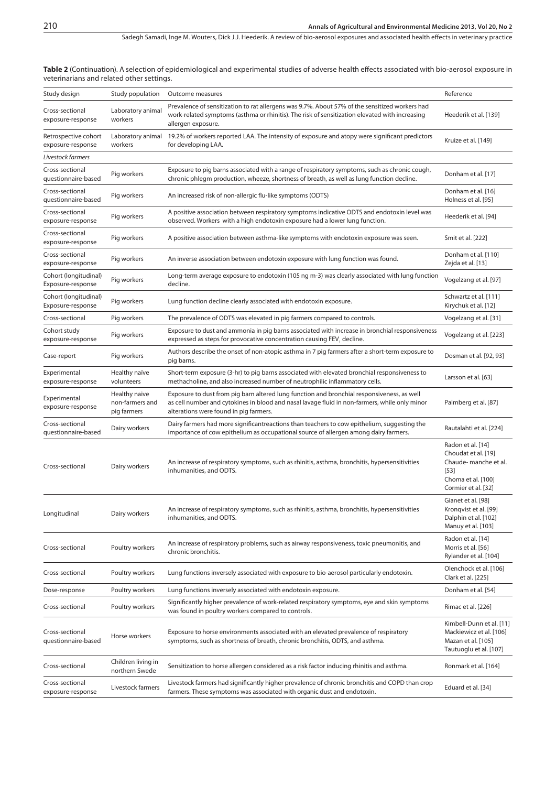**Table 2** (Continuation). A selection of epidemiological and experimental studies of adverse health effects associated with bio-aerosol exposure in veterinarians and related other settings.

| Study design                               | Study population                                | Outcome measures                                                                                                                                                                                                                      | Reference                                                                                                               |
|--------------------------------------------|-------------------------------------------------|---------------------------------------------------------------------------------------------------------------------------------------------------------------------------------------------------------------------------------------|-------------------------------------------------------------------------------------------------------------------------|
| Cross-sectional<br>exposure-response       | Laboratory animal<br>workers                    | Prevalence of sensitization to rat allergens was 9.7%. About 57% of the sensitized workers had<br>work-related symptoms (asthma or rhinitis). The risk of sensitization elevated with increasing<br>allergen exposure.                | Heederik et al. [139]                                                                                                   |
| Retrospective cohort<br>exposure-response  | Laboratory animal<br>workers                    | 19.2% of workers reported LAA. The intensity of exposure and atopy were significant predictors<br>for developing LAA.                                                                                                                 | Kruize et al. [149]                                                                                                     |
| Livestock farmers                          |                                                 |                                                                                                                                                                                                                                       |                                                                                                                         |
| Cross-sectional<br>questionnaire-based     | Pig workers                                     | Exposure to pig barns associated with a range of respiratory symptoms, such as chronic cough,<br>chronic phlegm production, wheeze, shortness of breath, as well as lung function decline.                                            | Donham et al. [17]                                                                                                      |
| Cross-sectional<br>questionnaire-based     | Pig workers                                     | An increased risk of non-allergic flu-like symptoms (ODTS)                                                                                                                                                                            | Donham et al. [16]<br>Holness et al. [95]                                                                               |
| Cross-sectional<br>exposure-response       | Pig workers                                     | A positive association between respiratory symptoms indicative ODTS and endotoxin level was<br>observed. Workers with a high endotoxin exposure had a lower lung function.                                                            | Heederik et al. [94]                                                                                                    |
| Cross-sectional<br>exposure-response       | Pig workers                                     | A positive association between asthma-like symptoms with endotoxin exposure was seen.                                                                                                                                                 | Smit et al. [222]                                                                                                       |
| Cross-sectional<br>exposure-response       | Pig workers                                     | An inverse association between endotoxin exposure with lung function was found.                                                                                                                                                       | Donham et al. [110]<br>Zejda et al. [13]                                                                                |
| Cohort (longitudinal)<br>Exposure-response | Pig workers                                     | Long-term average exposure to endotoxin (105 ng m-3) was clearly associated with lung function<br>decline.                                                                                                                            | Vogelzang et al. [97]                                                                                                   |
| Cohort (longitudinal)<br>Exposure-response | Pig workers                                     | Lung function decline clearly associated with endotoxin exposure.                                                                                                                                                                     | Schwartz et al. [111]<br>Kirychuk et al. [12]                                                                           |
| Cross-sectional                            | Pig workers                                     | The prevalence of ODTS was elevated in pig farmers compared to controls.                                                                                                                                                              | Vogelzang et al. [31]                                                                                                   |
| Cohort study<br>exposure-response          | Pig workers                                     | Exposure to dust and ammonia in pig barns associated with increase in bronchial responsiveness<br>expressed as steps for provocative concentration causing FEV, decline.                                                              | Vogelzang et al. [223]                                                                                                  |
| Case-report                                | Pig workers                                     | Authors describe the onset of non-atopic asthma in 7 pig farmers after a short-term exposure to<br>pig barns.                                                                                                                         | Dosman et al. [92, 93]                                                                                                  |
| Experimental<br>exposure-response          | Healthy naïve<br>volunteers                     | Short-term exposure (3-hr) to pig barns associated with elevated bronchial responsiveness to<br>methacholine, and also increased number of neutrophilic inflammatory cells.                                                           | Larsson et al. [63]                                                                                                     |
| Experimental<br>exposure-response          | Healthy naive<br>non-farmers and<br>pig farmers | Exposure to dust from pig barn altered lung function and bronchial responsiveness, as well<br>as cell number and cytokines in blood and nasal lavage fluid in non-farmers, while only minor<br>alterations were found in pig farmers. | Palmberg et al. [87]                                                                                                    |
| Cross-sectional<br>questionnaire-based     | Dairy workers                                   | Dairy farmers had more significantreactions than teachers to cow epithelium, suggesting the<br>importance of cow epithelium as occupational source of allergen among dairy farmers.                                                   | Rautalahti et al. [224]                                                                                                 |
| Cross-sectional                            | Dairy workers                                   | An increase of respiratory symptoms, such as rhinitis, asthma, bronchitis, hypersensitivities<br>inhumanities, and ODTS.                                                                                                              | Radon et al. [14]<br>Choudat et al. [19]<br>Chaude-manche et al.<br>$[53]$<br>Choma et al. [100]<br>Cormier et al. [32] |
| Longitudinal                               | Dairy workers                                   | An increase of respiratory symptoms, such as rhinitis, asthma, bronchitis, hypersensitivities<br>inhumanities, and ODTS.                                                                                                              | Gianet et al. [98]<br>Kronqvist et al. [99]<br>Dalphin et al. [102]<br>Manuy et al. [103]                               |
| Cross-sectional                            | Poultry workers                                 | An increase of respiratory problems, such as airway responsiveness, toxic pneumonitis, and<br>chronic bronchitis.                                                                                                                     | Radon et al. [14]<br>Morris et al. [56]<br>Rylander et al. [104]                                                        |
| Cross-sectional                            | Poultry workers                                 | Lung functions inversely associated with exposure to bio-aerosol particularly endotoxin.                                                                                                                                              | Olenchock et al. [106]<br>Clark et al. [225]                                                                            |
| Dose-response                              | Poultry workers                                 | Lung functions inversely associated with endotoxin exposure.                                                                                                                                                                          | Donham et al. [54]                                                                                                      |
| Cross-sectional                            | Poultry workers                                 | Significantly higher prevalence of work-related respiratory symptoms, eye and skin symptoms<br>was found in poultry workers compared to controls.                                                                                     | Rimac et al. [226]                                                                                                      |
| Cross-sectional<br>questionnaire-based     | Horse workers                                   | Exposure to horse environments associated with an elevated prevalence of respiratory<br>symptoms, such as shortness of breath, chronic bronchitis, ODTS, and asthma.                                                                  | Kimbell-Dunn et al. [11]<br>Mackiewicz et al. [106]<br>Mazan et al. [105]<br>Tautuoglu et al. [107]                     |
| Cross-sectional                            | Children living in<br>northern Swede            | Sensitization to horse allergen considered as a risk factor inducing rhinitis and asthma.                                                                                                                                             | Ronmark et al. [164]                                                                                                    |
| Cross-sectional<br>exposure-response       | Livestock farmers                               | Livestock farmers had significantly higher prevalence of chronic bronchitis and COPD than crop<br>farmers. These symptoms was associated with organic dust and endotoxin.                                                             | Eduard et al. [34]                                                                                                      |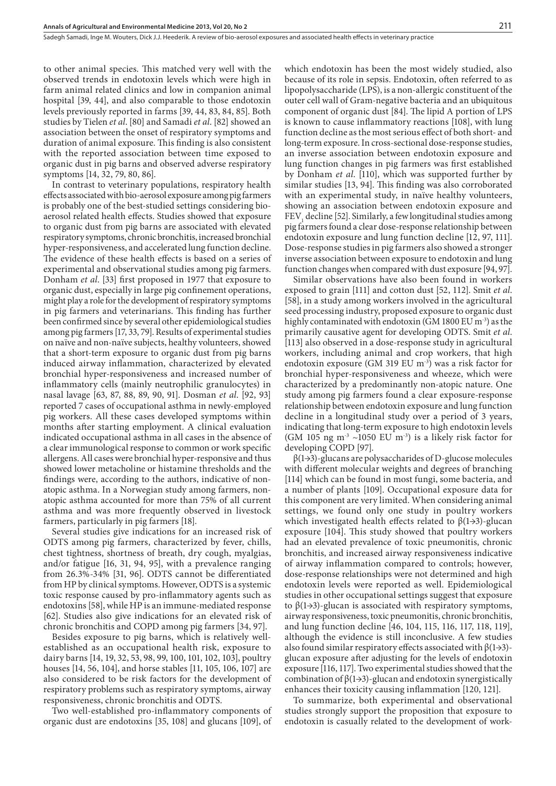to other animal species. This matched very well with the observed trends in endotoxin levels which were high in farm animal related clinics and low in companion animal hospital [39, 44], and also comparable to those endotoxin levels previously reported in farms [39, 44, 83, 84, 85]. Both studies by Tielen *et al*. [80] and Samadi *et al*. [82] showed an association between the onset of respiratory symptoms and duration of animal exposure. This finding is also consistent with the reported association between time exposed to organic dust in pig barns and observed adverse respiratory symptoms [14, 32, 79, 80, 86].

In contrast to veterinary populations, respiratory health effects associated with bio-aerosol exposure among pig farmers is probably one of the best-studied settings considering bioaerosol related health effects. Studies showed that exposure to organic dust from pig barns are associated with elevated respiratory symptoms, chronic bronchitis, increased bronchial hyper-responsiveness, and accelerated lung function decline. The evidence of these health effects is based on a series of experimental and observational studies among pig farmers. Donham *et al*. [33] first proposed in 1977 that exposure to organic dust, especially in large pig confinement operations, might play a role for the development of respiratory symptoms in pig farmers and veterinarians. This finding has further been confirmed since by several other epidemiological studies among pig farmers [17, 33, 79]. Results of experimental studies on naïve and non-naïve subjects, healthy volunteers, showed that a short-term exposure to organic dust from pig barns induced airway inflammation, characterized by elevated bronchial hyper-responsiveness and increased number of inflammatory cells (mainly neutrophilic granulocytes) in nasal lavage [63, 87, 88, 89, 90, 91]. Dosman *et al*. [92, 93] reported 7 cases of occupational asthma in newly-employed pig workers. All these cases developed symptoms within months after starting employment. A clinical evaluation indicated occupational asthma in all cases in the absence of a clear immunological response to common or work specific allergens. All cases were bronchial hyper-responsive and thus showed lower metacholine or histamine thresholds and the findings were, according to the authors, indicative of nonatopic asthma. In a Norwegian study among farmers, nonatopic asthma accounted for more than 75% of all current asthma and was more frequently observed in livestock farmers, particularly in pig farmers [18].

Several studies give indications for an increased risk of ODTS among pig farmers, characterized by fever, chills, chest tightness, shortness of breath, dry cough, myalgias, and/or fatigue [16, 31, 94, 95], with a prevalence ranging from 26.3%-34% [31, 96]. ODTS cannot be differentiated from HP by clinical symptoms. However, ODTS is a systemic toxic response caused by pro-inflammatory agents such as endotoxins [58], while HP is an immune-mediated response [62]. Studies also give indications for an elevated risk of chronic bronchitis and COPD among pig farmers [34, 97].

Besides exposure to pig barns, which is relatively wellestablished as an occupational health risk, exposure to dairy barns [14, 19, 32, 53, 98, 99, 100, 101, 102, 103], poultry houses [14, 56, 104], and horse stables [11, 105, 106, 107] are also considered to be risk factors for the development of respiratory problems such as respiratory symptoms, airway responsiveness, chronic bronchitis and ODTS.

Two well-established pro-inflammatory components of organic dust are endotoxins [35, 108] and glucans [109], of which endotoxin has been the most widely studied, also because of its role in sepsis. Endotoxin, often referred to as lipopolysaccharide (LPS), is a non-allergic constituent of the outer cell wall of Gram-negative bacteria and an ubiquitous component of organic dust [84]. The lipid A portion of LPS is known to cause inflammatory reactions [108], with lung function decline as the most serious effect of both short- and long-term exposure. In cross-sectional dose-response studies, an inverse association between endotoxin exposure and lung function changes in pig farmers was first established by Donham *et al*. [110], which was supported further by similar studies [13, 94]. This finding was also corroborated with an experimental study, in naïve healthy volunteers, showing an association between endotoxin exposure and  $FEV<sub>1</sub>$  decline [52]. Similarly, a few longitudinal studies among pig farmers found a clear dose-response relationship between endotoxin exposure and lung function decline [12, 97, 111]. Dose-response studies in pig farmers also showed a stronger inverse association between exposure to endotoxin and lung function changes when compared with dust exposure [94, 97].

Similar observations have also been found in workers exposed to grain [111] and cotton dust [52, 112]. Smit *et al*. [58], in a study among workers involved in the agricultural seed processing industry, proposed exposure to organic dust highly contaminated with endotoxin (GM 1800 EU m<sup>-3</sup>) as the primarily causative agent for developing ODTS. Smit *et al*. [113] also observed in a dose-response study in agricultural workers, including animal and crop workers, that high endotoxin exposure (GM 319 EU m-3) was a risk factor for bronchial hyper-responsiveness and wheeze, which were characterized by a predominantly non-atopic nature. One study among pig farmers found a clear exposure-response relationship between endotoxin exposure and lung function decline in a longitudinal study over a period of 3 years, indicating that long-term exposure to high endotoxin levels (GM 105 ng  $m<sup>3</sup>$  ~1050 EU m<sup>-3</sup>) is a likely risk factor for developing COPD [97].

 $\beta(1\rightarrow3)$ -glucans are polysaccharides of D-glucose molecules with different molecular weights and degrees of branching [114] which can be found in most fungi, some bacteria, and a number of plants [109]. Occupational exposure data for this component are very limited. When considering animal settings, we found only one study in poultry workers which investigated health effects related to  $\beta(1\rightarrow3)$ -glucan exposure [104]. This study showed that poultry workers had an elevated prevalence of toxic pneumonitis, chronic bronchitis, and increased airway responsiveness indicative of airway inflammation compared to controls; however, dose-response relationships were not determined and high endotoxin levels were reported as well. Epidemiological studies in other occupational settings suggest that exposure to  $β(1→3)$ -glucan is associated with respiratory symptoms, airway responsiveness, toxic pneumonitis, chronic bronchitis, and lung function decline [46, 104, 115, 116, 117, 118, 119], although the evidence is still inconclusive. A few studies also found similar respiratory effects associated with  $\beta(1\rightarrow3)$ glucan exposure after adjusting for the levels of endotoxin exposure [116, 117]. Two experimental studies showed that the combination of  $\beta$ (1→3)-glucan and endotoxin synergistically enhances their toxicity causing inflammation [120, 121].

To summarize, both experimental and observational studies strongly support the proposition that exposure to endotoxin is casually related to the development of work-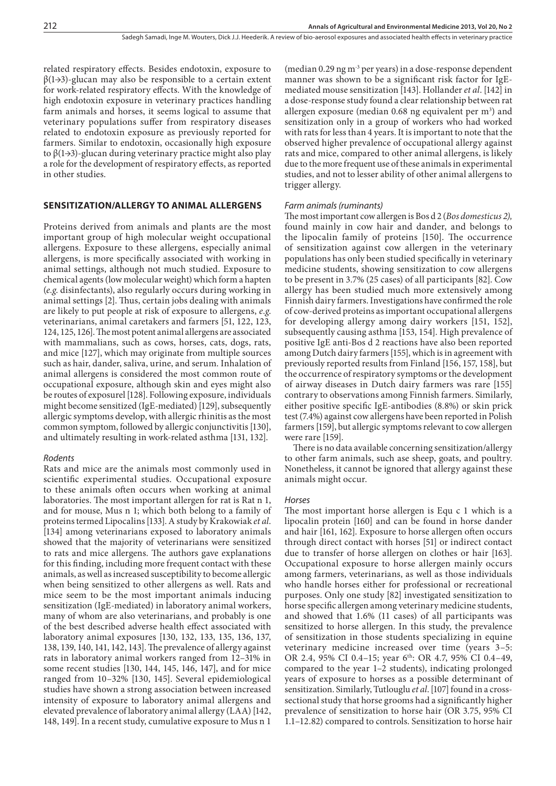related respiratory effects. Besides endotoxin, exposure to  $\beta(1\rightarrow3)$ -glucan may also be responsible to a certain extent for work-related respiratory effects. With the knowledge of high endotoxin exposure in veterinary practices handling farm animals and horses, it seems logical to assume that veterinary populations suffer from respiratory diseases related to endotoxin exposure as previously reported for farmers. Similar to endotoxin, occasionally high exposure to  $β(1\rightarrow3)$ -glucan during veterinary practice might also play a role for the development of respiratory effects, as reported in other studies.

# **Sensitization/allergy to animal allergens**

Proteins derived from animals and plants are the most important group of high molecular weight occupational allergens. Exposure to these allergens, especially animal allergens, is more specifically associated with working in animal settings, although not much studied. Exposure to chemical agents (low molecular weight) which form a hapten (*e.g*. disinfectants), also regularly occurs during working in animal settings [2]. Thus, certain jobs dealing with animals are likely to put people at risk of exposure to allergens, *e.g*. veterinarians, animal caretakers and farmers [51, 122, 123, 124, 125, 126]. The most potent animal allergens are associated with mammalians, such as cows, horses, cats, dogs, rats, and mice [127], which may originate from multiple sources such as hair, dander, saliva, urine, and serum. Inhalation of animal allergens is considered the most common route of occupational exposure, although skin and eyes might also be routes of exposurel [128]. Following exposure, individuals might become sensitized (IgE-mediated) [129], subsequently allergic symptoms develop, with allergic rhinitis as the most common symptom, followed by allergic conjunctivitis [130], and ultimately resulting in work-related asthma [131, 132].

#### *Rodents*

Rats and mice are the animals most commonly used in scientific experimental studies. Occupational exposure to these animals often occurs when working at animal laboratories. The most important allergen for rat is Rat n 1, and for mouse, Mus n 1; which both belong to a family of proteins termed Lipocalins [133]. A study by Krakowiak *et al*. [134] among veterinarians exposed to laboratory animals showed that the majority of veterinarians were sensitized to rats and mice allergens. The authors gave explanations for this finding, including more frequent contact with these animals, as well as increased susceptibility to become allergic when being sensitized to other allergens as well. Rats and mice seem to be the most important animals inducing sensitization (IgE-mediated) in laboratory animal workers, many of whom are also veterinarians, and probably is one of the best described adverse health effect associated with laboratory animal exposures [130, 132, 133, 135, 136, 137, 138, 139, 140, 141, 142, 143]. The prevalence of allergy against rats in laboratory animal workers ranged from 12–31% in some recent studies [130, 144, 145, 146, 147], and for mice ranged from 10–32% [130, 145]. Several epidemiological studies have shown a strong association between increased intensity of exposure to laboratory animal allergens and elevated prevalence of laboratory animal allergy (LAA) [142, 148, 149]. In a recent study, cumulative exposure to Mus n 1

(median  $0.29$  ng m<sup>-3</sup> per years) in a dose-response dependent manner was shown to be a significant risk factor for IgEmediated mouse sensitization [143]. Hollander *et al*. [142] in a dose-response study found a clear relationship between rat allergen exposure (median  $0.68$  ng equivalent per m<sup>3</sup>) and sensitization only in a group of workers who had worked with rats for less than 4 years. It is important to note that the observed higher prevalence of occupational allergy against rats and mice, compared to other animal allergens, is likely due to the more frequent use of these animals in experimental studies, and not to lesser ability of other animal allergens to trigger allergy.

#### *Farm animals (ruminants)*

The most important cow allergen is Bos d 2 (*Bos domesticus 2),* found mainly in cow hair and dander, and belongs to the lipocalin family of proteins [150]. The occurrence of sensitization against cow allergen in the veterinary populations has only been studied specifically in veterinary medicine students, showing sensitization to cow allergens to be present in 3.7% (25 cases) of all participants [82]. Cow allergy has been studied much more extensively among Finnish dairy farmers. Investigations have confirmed the role of cow-derived proteins as important occupational allergens for developing allergy among dairy workers [151, 152], subsequently causing asthma [153, 154]. High prevalence of positive IgE anti-Bos d 2 reactions have also been reported among Dutch dairy farmers [155], which is in agreement with previously reported results from Finland [156, 157, 158], but the occurrence of respiratory symptoms or the development of airway diseases in Dutch dairy farmers was rare [155] contrary to observations among Finnish farmers. Similarly, either positive specific IgE-antibodies (8.8%) or skin prick test (7.4%) against cow allergens have been reported in Polish farmers [159], but allergic symptoms relevant to cow allergen were rare [159].

There is no data available concerning sensitization/allergy to other farm animals, such ase sheep, goats, and poultry. Nonetheless, it cannot be ignored that allergy against these animals might occur.

#### *Horses*

The most important horse allergen is Equ c 1 which is a lipocalin protein [160] and can be found in horse dander and hair [161, 162]. Exposure to horse allergen often occurs through direct contact with horses [51] or indirect contact due to transfer of horse allergen on clothes or hair [163]. Occupational exposure to horse allergen mainly occurs among farmers, veterinarians, as well as those individuals who handle horses either for professional or recreational purposes. Only one study [82] investigated sensitization to horse specific allergen among veterinary medicine students, and showed that 1.6% (11 cases) of all participants was sensitized to horse allergen. In this study, the prevalence of sensitization in those students specializing in equine veterinary medicine increased over time (years 3–5: OR 2.4, 95% CI 0.4–15; year 6th: OR 4.7, 95% CI 0.4–49, compared to the year 1–2 students), indicating prolonged years of exposure to horses as a possible determinant of sensitization. Similarly, Tutlouglu *et al*. [107] found in a crosssectional study that horse grooms had a significantly higher prevalence of sensitization to horse hair (OR 3.75, 95% CI 1.1–12.82) compared to controls. Sensitization to horse hair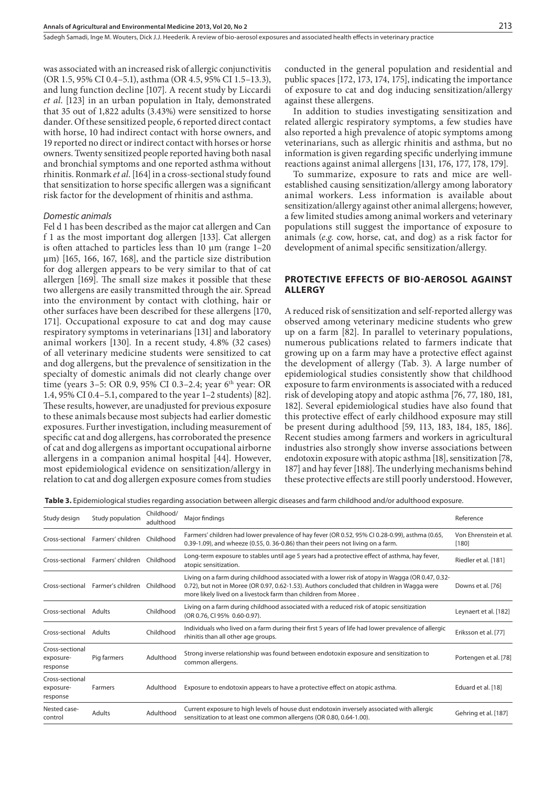was associated with an increased risk of allergic conjunctivitis (OR 1.5, 95% CI 0.4–5.1), asthma (OR 4.5, 95% CI 1.5–13.3), and lung function decline [107]. A recent study by Liccardi *et al*. [123] in an urban population in Italy, demonstrated that 35 out of 1,822 adults (3.43%) were sensitized to horse dander. Of these sensitized people, 6 reported direct contact with horse, 10 had indirect contact with horse owners, and 19 reported no direct or indirect contact with horses or horse owners. Twenty sensitized people reported having both nasal and bronchial symptoms and one reported asthma without rhinitis. Ronmark *et al*. [164] in a cross-sectional study found that sensitization to horse specific allergen was a significant risk factor for the development of rhinitis and asthma.

#### *Domestic animals*

Fel d 1 has been described as the major cat allergen and Can f 1 as the most important dog allergen [133]. Cat allergen is often attached to particles less than 10  $\mu$ m (range 1–20  $\mu$ m) [165, 166, 167, 168], and the particle size distribution for dog allergen appears to be very similar to that of cat allergen [169]. The small size makes it possible that these two allergens are easily transmitted through the air. Spread into the environment by contact with clothing, hair or other surfaces have been described for these allergens [170, 171]. Occupational exposure to cat and dog may cause respiratory symptoms in veterinarians [131] and laboratory animal workers [130]*.* In a recent study, 4.8% (32 cases) of all veterinary medicine students were sensitized to cat and dog allergens, but the prevalence of sensitization in the specialty of domestic animals did not clearly change over time (years 3–5: OR 0.9, 95% CI 0.3–2.4; year 6<sup>th</sup> year: OR 1.4, 95% CI 0.4–5.1, compared to the year 1–2 students) [82]. These results, however, are unadjusted for previous exposure to these animals because most subjects had earlier domestic exposures. Further investigation, including measurement of specific cat and dog allergens, has corroborated the presence of cat and dog allergens as important occupational airborne allergens in a companion animal hospital [44]. However, most epidemiological evidence on sensitization/allergy in relation to cat and dog allergen exposure comes from studies

conducted in the general population and residential and public spaces [172, 173, 174, 175], indicating the importance of exposure to cat and dog inducing sensitization/allergy against these allergens.

In addition to studies investigating sensitization and related allergic respiratory symptoms, a few studies have also reported a high prevalence of atopic symptoms among veterinarians, such as allergic rhinitis and asthma, but no information is given regarding specific underlying immune reactions against animal allergens [131, 176, 177, 178, 179].

To summarize, exposure to rats and mice are wellestablished causing sensitization/allergy among laboratory animal workers. Less information is available about sensitization/allergy against other animal allergens; however, a few limited studies among animal workers and veterinary populations still suggest the importance of exposure to animals (*e.g.* cow, horse, cat, and dog) as a risk factor for development of animal specific sensitization/allergy.

# **Protective effects of bio-aerosol against allergy**

A reduced risk of sensitization and self-reported allergy was observed among veterinary medicine students who grew up on a farm [82]. In parallel to veterinary populations, numerous publications related to farmers indicate that growing up on a farm may have a protective effect against the development of allergy (Tab. 3). A large number of epidemiological studies consistently show that childhood exposure to farm environments is associated with a reduced risk of developing atopy and atopic asthma [76, 77, 180, 181, 182]. Several epidemiological studies have also found that this protective effect of early childhood exposure may still be present during adulthood [59, 113, 183, 184, 185, 186]. Recent studies among farmers and workers in agricultural industries also strongly show inverse associations between endotoxin exposure with atopic asthma [18], sensitization [78, 187] and hay fever [188]. The underlying mechanisms behind these protective effects are still poorly understood. However,

 **Table 3.** Epidemiological studies regarding association between allergic diseases and farm childhood and/or adulthood exposure.

| Study design                             | Study population                  | Childhood/<br>adulthood | Major findings                                                                                                                                                                                                                                                     | Reference                        |
|------------------------------------------|-----------------------------------|-------------------------|--------------------------------------------------------------------------------------------------------------------------------------------------------------------------------------------------------------------------------------------------------------------|----------------------------------|
| Cross-sectional                          | Farmers' children                 | Childhood               | Farmers' children had lower prevalence of hay fever (OR 0.52, 95% CI 0.28-0.99), asthma (0.65,<br>0.39-1.09), and wheeze (0.55, 0.36-0.86) than their peers not living on a farm.                                                                                  | Von Ehrenstein et al.<br>$[180]$ |
|                                          | Cross-sectional Farmers' children | Childhood               | Long-term exposure to stables until age 5 years had a protective effect of asthma, hay fever,<br>atopic sensitization.                                                                                                                                             | Riedler et al. [181]             |
| Cross-sectional                          | Farmer's children                 | Childhood               | Living on a farm during childhood associated with a lower risk of atopy in Wagga (OR 0.47, 0.32-<br>0.72), but not in Moree (OR 0.97, 0.62-1.53). Authors concluded that children in Wagga were<br>more likely lived on a livestock farm than children from Moree. | Downs et al. [76]                |
| Cross-sectional                          | Adults                            | Childhood               | Living on a farm during childhood associated with a reduced risk of atopic sensitization<br>(OR 0.76, CI 95% 0.60-0.97).                                                                                                                                           | Leynaert et al. [182]            |
| Cross-sectional                          | Adults                            | Childhood               | Individuals who lived on a farm during their first 5 years of life had lower prevalence of allergic<br>rhinitis than all other age groups.                                                                                                                         | Eriksson et al. [77]             |
| Cross-sectional<br>exposure-<br>response | Pig farmers                       | Adulthood               | Strong inverse relationship was found between endotoxin exposure and sensitization to<br>common allergens.                                                                                                                                                         | Portengen et al. [78]            |
| Cross-sectional<br>exposure-<br>response | Farmers                           | Adulthood               | Exposure to endotoxin appears to have a protective effect on atopic asthma.                                                                                                                                                                                        | Eduard et al. [18]               |
| Nested case-<br>control                  | Adults                            | Adulthood               | Current exposure to high levels of house dust endotoxin inversely associated with allergic<br>sensitization to at least one common allergens (OR 0.80, 0.64-1.00).                                                                                                 | Gehring et al. [187]             |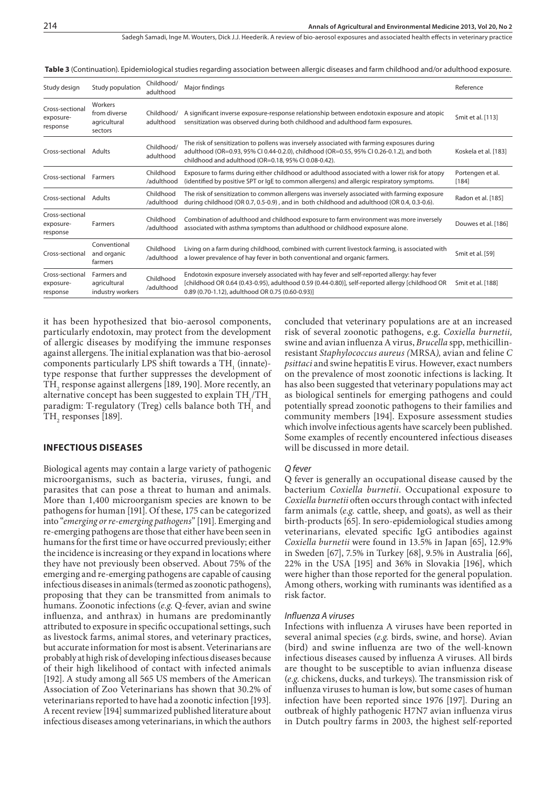| Study design                             | Study population                                   | Childhood/<br>adulthood | Major findings                                                                                                                                                                                                                                      | Reference                 |
|------------------------------------------|----------------------------------------------------|-------------------------|-----------------------------------------------------------------------------------------------------------------------------------------------------------------------------------------------------------------------------------------------------|---------------------------|
| Cross-sectional<br>exposure-<br>response | Workers<br>from diverse<br>agricultural<br>sectors | Childhood/<br>adulthood | A significant inverse exposure-response relationship between endotoxin exposure and atopic<br>sensitization was observed during both childhood and adulthood farm exposures.                                                                        | Smit et al. [113]         |
| Cross-sectional                          | Adults                                             | Childhood/<br>adulthood | The risk of sensitization to pollens was inversely associated with farming exposures during<br>adulthood (OR=0.93, 95% CI 0.44-0.2.0), childhood (OR=0.55, 95% CI 0.26-0.1.2), and both<br>childhood and adulthood (OR=0.18, 95% CI 0.08-0.42).     | Koskela et al. [183]      |
| Cross-sectional                          | Farmers                                            | Childhood<br>/adulthood | Exposure to farms during either childhood or adulthood associated with a lower risk for atopy<br>(identified by positive SPT or IgE to common allergens) and allergic respiratory symptoms.                                                         | Portengen et al.<br>[184] |
| Cross-sectional                          | Adults                                             | Childhood<br>/adulthood | The risk of sensitization to common allergens was inversely associated with farming exposure<br>during childhood (OR 0.7, 0.5-0.9), and in both childhood and adulthood (OR 0.4, 0.3-0.6).                                                          | Radon et al. [185]        |
| Cross-sectional<br>exposure-<br>response | Farmers                                            | Childhood<br>/adulthood | Combination of adulthood and childhood exposure to farm environment was more inversely<br>associated with asthma symptoms than adulthood or childhood exposure alone.                                                                               | Douwes et al. [186]       |
| Cross-sectional                          | Conventional<br>and organic<br>farmers             | Childhood<br>/adulthood | Living on a farm during childhood, combined with current livestock farming, is associated with<br>a lower prevalence of hay fever in both conventional and organic farmers.                                                                         | Smit et al. [59]          |
| Cross-sectional<br>exposure-<br>response | Farmers and<br>agricultural<br>industry workers    | Childhood<br>/adulthood | Endotoxin exposure inversely associated with hay fever and self-reported allergy: hay fever<br>[childhood OR 0.64 (0.43-0.95), adulthood 0.59 (0.44-0.80)], self-reported allergy [childhood OR<br>0.89 (0.70-1.12), adulthood OR 0.75 (0.60-0.93)] | Smit et al. [188]         |

 **Table 3** (Continuation). Epidemiological studies regarding association between allergic diseases and farm childhood and/or adulthood exposure.

it has been hypothesized that bio-aerosol components, particularly endotoxin, may protect from the development of allergic diseases by modifying the immune responses against allergens. The initial explanation was that bio-aerosol components particularly LPS shift towards a  $TH_1$  (innate)type response that further suppresses the development of  $TH<sub>2</sub>$  response against allergens [189, 190]. More recently, an alternative concept has been suggested to explain  $TH_1/TH_2$ paradigm: T-regulatory (Treg) cells balance both TH<sub>1</sub> and  $TH_{2}$  responses [189].

# **Infectious diseases**

Biological agents may contain a large variety of pathogenic microorganisms, such as bacteria, viruses, fungi, and parasites that can pose a threat to human and animals. More than 1,400 microorganism species are known to be pathogens for human [191]. Of these, 175 can be categorized into "*emerging or re-emerging pathogens*" [191]. Emerging and re-emerging pathogens are those that either have been seen in humans for the first time or have occurred previously; either the incidence is increasing or they expand in locations where they have not previously been observed. About 75% of the emerging and re-emerging pathogens are capable of causing infectious diseases in animals (termed as zoonotic pathogens), proposing that they can be transmitted from animals to humans. Zoonotic infections (*e.g*. Q-fever, avian and swine influenza, and anthrax) in humans are predominantly attributed to exposure in specific occupational settings, such as livestock farms, animal stores, and veterinary practices, but accurate information for most is absent. Veterinarians are probably at high risk of developing infectious diseases because of their high likelihood of contact with infected animals [192]. A study among all 565 US members of the American Association of Zoo Veterinarians has shown that 30.2% of veterinarians reported to have had a zoonotic infection [193]. A recent review [194] summarized published literature about infectious diseases among veterinarians, in which the authors

concluded that veterinary populations are at an increased risk of several zoonotic pathogens, e.g. *Coxiella burnetii,* swine and avian influenza A virus, *Brucella* spp, methicillinresistant *Staphylococcus aureus (*MRSA*),* avian and feline *C psittaci* and swine hepatitis E virus. However, exact numbers on the prevalence of most zoonotic infections is lacking. It has also been suggested that veterinary populations may act as biological sentinels for emerging pathogens and could potentially spread zoonotic pathogens to their families and community members [194]. Exposure assessment studies which involve infectious agents have scarcely been published. Some examples of recently encountered infectious diseases will be discussed in more detail.

#### *Q fever*

Q fever is generally an occupational disease caused by the bacterium *Coxiella burnetii*. Occupational exposure to *Coxiella burnetii* often occurs through contact with infected farm animals (*e.g*. cattle, sheep, and goats), as well as their birth-products [65]. In sero-epidemiological studies among veterinarians, elevated specific IgG antibodies against *Coxiella burnetii* were found in 13.5% in Japan [65], 12.9% in Sweden [67], 7.5% in Turkey [68], 9.5% in Australia [66], 22% in the USA [195] and 36% in Slovakia [196], which were higher than those reported for the general population. Among others, working with ruminants was identified as a risk factor.

#### *Influenza A viruses*

Infections with influenza A viruses have been reported in several animal species (*e.g.* birds, swine, and horse). Avian (bird) and swine influenza are two of the well-known infectious diseases caused by influenza A viruses. All birds are thought to be susceptible to avian influenza disease (*e.g*. chickens, ducks, and turkeys). The transmission risk of influenza viruses to human is low, but some cases of human infection have been reported since 1976 [197]. During an outbreak of highly pathogenic H7N7 avian influenza virus in Dutch poultry farms in 2003, the highest self-reported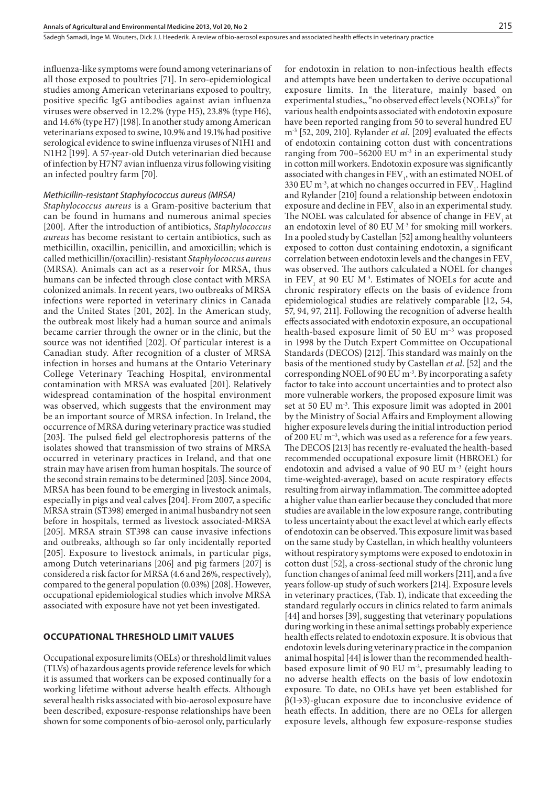influenza-like symptoms were found among veterinarians of all those exposed to poultries [71]. In sero-epidemiological studies among American veterinarians exposed to poultry, positive specific IgG antibodies against avian influenza viruses were observed in 12.2% (type H5), 23.8% (type H6), and 14.6% (type H7) [198]. In another study among American veterinarians exposed to swine, 10.9% and 19.1% had positive serological evidence to swine influenza viruses of N1H1 and N1H2 [199]. A 57-year-old Dutch veterinarian died because of infection by H7N7 avian influenza virus following visiting an infected poultry farm [70].

# *Methicillin-resistant Staphylococcus aureus (MRSA)*

*Staphylococcus aureus* is a Gram-positive bacterium that can be found in humans and numerous animal species [200]. After the introduction of antibiotics, *Staphylococcus aureus* has become resistant to certain antibiotics, such as methicillin, oxacillin, penicillin, and amoxicillin; which is called methicillin/(oxacillin)-resistant *Staphylococcus aureus* (MRSA). Animals can act as a reservoir for MRSA, thus humans can be infected through close contact with MRSA colonized animals. In recent years, two outbreaks of MRSA infections were reported in veterinary clinics in Canada and the United States [201, 202]. In the American study, the outbreak most likely had a human source and animals became carrier through the owner or in the clinic, but the source was not identified [202]. Of particular interest is a Canadian study. After recognition of a cluster of MRSA infection in horses and humans at the Ontario Veterinary College Veterinary Teaching Hospital, environmental contamination with MRSA was evaluated [201]. Relatively widespread contamination of the hospital environment was observed, which suggests that the environment may be an important source of MRSA infection. In Ireland, the occurrence of MRSA during veterinary practice was studied [203]. The pulsed field gel electrophoresis patterns of the isolates showed that transmission of two strains of MRSA occurred in veterinary practices in Ireland, and that one strain may have arisen from human hospitals. The source of the second strain remains to be determined [203]. Since 2004, MRSA has been found to be emerging in livestock animals, especially in pigs and veal calves [204]. From 2007, a specific MRSA strain (ST398) emerged in animal husbandry not seen before in hospitals, termed as livestock associated-MRSA [205]. MRSA strain ST398 can cause invasive infections and outbreaks, although so far only incidentally reported [205]. Exposure to livestock animals, in particular pigs, among Dutch veterinarians [206] and pig farmers [207] is considered a risk factor for MRSA (4.6 and 26%, respectively), compared to the general population (0.03%) [208]. However, occupational epidemiological studies which involve MRSA associated with exposure have not yet been investigated.

# **Occupational threshold limit values**

Occupational exposure limits (OELs) or threshold limit values (TLVs) of hazardous agents provide reference levels for which it is assumed that workers can be exposed continually for a working lifetime without adverse health effects. Although several health risks associated with bio-aerosol exposure have been described, exposure-response relationships have been shown for some components of bio-aerosol only, particularly for endotoxin in relation to non-infectious health effects and attempts have been undertaken to derive occupational exposure limits. In the literature, mainly based on experimental studies,, "no observed effect levels (NOELs)" for various health endpoints associated with endotoxin exposure have been reported ranging from 50 to several hundred EU m-3 [52, 209, 210]. Rylander *et al*. [209] evaluated the effects of endotoxin containing cotton dust with concentrations ranging from 700–56200 EU  $m<sup>3</sup>$  in an experimental study in cotton mill workers. Endotoxin exposure was significantly associated with changes in  $\text{FEV}_1$ , with an estimated NOEL of 330 EU m<sup>-3</sup>, at which no changes occurred in  $\text{FEV}_1$ . Haglind and Rylander [210] found a relationship between endotoxin exposure and decline in FEV, also in an experimental study. The NOEL was calculated for absence of change in FEV, at an endotoxin level of 80 EU  $M<sup>3</sup>$  for smoking mill workers. In a pooled study by Castellan [52] among healthy volunteers exposed to cotton dust containing endotoxin, a significant correlation between endotoxin levels and the changes in FEV<sub>1</sub> was observed. The authors calculated a NOEL for changes in  $FEV<sub>1</sub>$  at 90 EU M<sup>-3</sup>. Estimates of NOELs for acute and chronic respiratory effects on the basis of evidence from epidemiological studies are relatively comparable [12, 54, 57, 94, 97, 211]. Following the recognition of adverse health effects associated with endotoxin exposure, an occupational health-based exposure limit of 50 EU m−3 was proposed in 1998 by the Dutch Expert Committee on Occupational Standards (DECOS) [212]. This standard was mainly on the basis of the mentioned study by Castellan *et al*. [52] and the corresponding NOEL of 90 EU m-3. By incorporating a safety factor to take into account uncertainties and to protect also more vulnerable workers, the proposed exposure limit was set at 50 EU m<sup>-3</sup>. This exposure limit was adopted in 2001 by the Ministry of Social Affairs and Employment allowing higher exposure levels during the initial introduction period of 200 EU m−3, which was used as a reference for a few years. The DECOS [213] has recently re-evaluated the health-based recommended occupational exposure limit (HBROEL) for endotoxin and advised a value of 90 EU m–3 (eight hours time-weighted-average), based on acute respiratory effects resulting from airway inflammation. The committee adopted a higher value than earlier because they concluded that more studies are available in the low exposure range, contributing to less uncertainty about the exact level at which early effects of endotoxin can be observed. This exposure limit was based on the same study by Castellan, in which healthy volunteers without respiratory symptoms were exposed to endotoxin in cotton dust [52], a cross-sectional study of the chronic lung function changes of animal feed mill workers[211], and a five years follow-up study of such workers [214]. Exposure levels in veterinary practices, (Tab. 1), indicate that exceeding the standard regularly occurs in clinics related to farm animals [44] and horses [39], suggesting that veterinary populations during working in these animal settings probably experience health effects related to endotoxin exposure. It is obvious that endotoxin levels during veterinary practice in the companion animal hospital [44] is lower than the recommended healthbased exposure limit of 90 EU m-3, presumably leading to no adverse health effects on the basis of low endotoxin exposure. To date, no OELs have yet been established for β(1→3)-glucan exposure due to inconclusive evidence of heath effects. In addition, there are no OELs for allergen exposure levels, although few exposure-response studies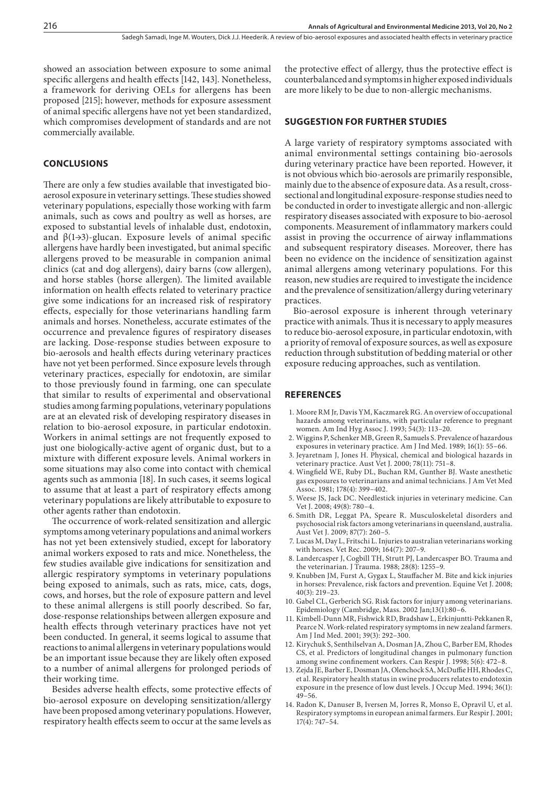showed an association between exposure to some animal specific allergens and health effects [142, 143]. Nonetheless, a framework for deriving OELs for allergens has been proposed [215]; however, methods for exposure assessment of animal specific allergens have not yet been standardized, which compromises development of standards and are not commercially available.

# **CONCLUSIONS**

There are only a few studies available that investigated bioaerosol exposure in veterinary settings. These studies showed veterinary populations, especially those working with farm animals, such as cows and poultry as well as horses, are exposed to substantial levels of inhalable dust, endotoxin, and  $\beta(1\rightarrow3)$ -glucan. Exposure levels of animal specific allergens have hardly been investigated, but animal specific allergens proved to be measurable in companion animal clinics (cat and dog allergens), dairy barns (cow allergen), and horse stables (horse allergen). The limited available information on health effects related to veterinary practice give some indications for an increased risk of respiratory effects, especially for those veterinarians handling farm animals and horses. Nonetheless, accurate estimates of the occurrence and prevalence figures of respiratory diseases are lacking. Dose-response studies between exposure to bio-aerosols and health effects during veterinary practices have not yet been performed. Since exposure levels through veterinary practices, especially for endotoxin, are similar to those previously found in farming, one can speculate that similar to results of experimental and observational studies among farming populations, veterinary populations are at an elevated risk of developing respiratory diseases in relation to bio-aerosol exposure, in particular endotoxin. Workers in animal settings are not frequently exposed to just one biologically-active agent of organic dust, but to a mixture with different exposure levels. Animal workers in some situations may also come into contact with chemical agents such as ammonia [18]. In such cases, it seems logical to assume that at least a part of respiratory effects among veterinary populations are likely attributable to exposure to other agents rather than endotoxin.

The occurrence of work-related sensitization and allergic symptoms among veterinary populations and animal workers has not yet been extensively studied, except for laboratory animal workers exposed to rats and mice. Nonetheless, the few studies available give indications for sensitization and allergic respiratory symptoms in veterinary populations being exposed to animals, such as rats, mice, cats, dogs, cows, and horses, but the role of exposure pattern and level to these animal allergens is still poorly described. So far, dose-response relationships between allergen exposure and health effects through veterinary practices have not yet been conducted. In general, it seems logical to assume that reactions to animal allergens in veterinary populations would be an important issue because they are likely often exposed to a number of animal allergens for prolonged periods of their working time.

Besides adverse health effects, some protective effects of bio-aerosol exposure on developing sensitization/allergy have been proposed among veterinary populations. However, respiratory health effects seem to occur at the same levels as

the protective effect of allergy, thus the protective effect is counterbalanced and symptoms in higher exposed individuals are more likely to be due to non-allergic mechanisms.

# **Suggestion for further studies**

A large variety of respiratory symptoms associated with animal environmental settings containing bio-aerosols during veterinary practice have been reported. However, it is not obvious which bio-aerosols are primarily responsible, mainly due to the absence of exposure data. As a result, crosssectional and longitudinal exposure-response studies need to be conducted in order to investigate allergic and non-allergic respiratory diseases associated with exposure to bio-aerosol components. Measurement of inflammatory markers could assist in proving the occurrence of airway inflammations and subsequent respiratory diseases. Moreover, there has been no evidence on the incidence of sensitization against animal allergens among veterinary populations. For this reason, new studies are required to investigate the incidence and the prevalence of sensitization/allergy during veterinary practices.

Bio-aerosol exposure is inherent through veterinary practice with animals. Thus it is necessary to apply measures to reduce bio-aerosol exposure, in particular endotoxin, with a priority of removal of exposure sources, as well as exposure reduction through substitution of bedding material or other exposure reducing approaches, such as ventilation.

## **REFERENCES**

- 1. Moore RM Jr, Davis YM, Kaczmarek RG. An overview of occupational hazards among veterinarians, with particular reference to pregnant women. Am Ind Hyg Assoc J. 1993; 54(3): 113–20.
- 2. Wiggins P, Schenker MB, Green R, Samuels S. Prevalence of hazardous exposures in veterinary practice. Am J Ind Med. 1989; 16(1): 55–66.
- 3. Jeyaretnam J, Jones H. Physical, chemical and biological hazards in veterinary practice. Aust Vet J. 2000; 78(11): 751–8.
- 4. Wingfield WE, Ruby DL, Buchan RM, Gunther BJ. Waste anesthetic gas exposures to veterinarians and animal technicians. J Am Vet Med Assoc. 1981; 178(4): 399–402.
- 5. Weese JS, Jack DC. Needlestick injuries in veterinary medicine. Can Vet J. 2008; 49(8): 780–4.
- 6. Smith DR, Leggat PA, Speare R. Musculoskeletal disorders and psychosocial risk factors among veterinarians in queensland, australia. Aust Vet J. 2009; 87(7): 260–5.
- 7. Lucas M, Day L, Fritschi L. Injuries to australian veterinarians working with horses. Vet Rec. 2009; 164(7): 207–9.
- 8. Landercasper J, Cogbill TH, Strutt PJ, Landercasper BO. Trauma and the veterinarian. J Trauma. 1988; 28(8): 1255–9.
- 9. Knubben JM, Furst A, Gygax L, Stauffacher M. Bite and kick injuries in horses: Prevalence, risk factors and prevention. Equine Vet J. 2008;  $40(3) \cdot 219 - 23$
- 10. Gabel CL, Gerberich SG. Risk factors for injury among veterinarians. Epidemiology (Cambridge, Mass. 2002 Jan;13(1):80–6.
- 11. Kimbell-Dunn MR, Fishwick RD, Bradshaw L, Erkinjuntti-Pekkanen R, Pearce N. Work-related respiratory symptoms in new zealand farmers. Am J Ind Med. 2001; 39(3): 292–300.
- 12. Kirychuk S, Senthilselvan A, Dosman JA, Zhou C, Barber EM, Rhodes CS, et al. Predictors of longitudinal changes in pulmonary function among swine confinement workers. Can Respir J. 1998; 5(6): 472–8.
- 13. Zejda JE, Barber E, Dosman JA, Olenchock SA, McDuffie HH, Rhodes C, et al. Respiratory health status in swine producers relates to endotoxin exposure in the presence of low dust levels. J Occup Med. 1994; 36(1): 49–56.
- 14. Radon K, Danuser B, Iversen M, Jorres R, Monso E, Opravil U, et al. Respiratory symptoms in european animal farmers. Eur Respir J. 2001; 17(4): 747–54.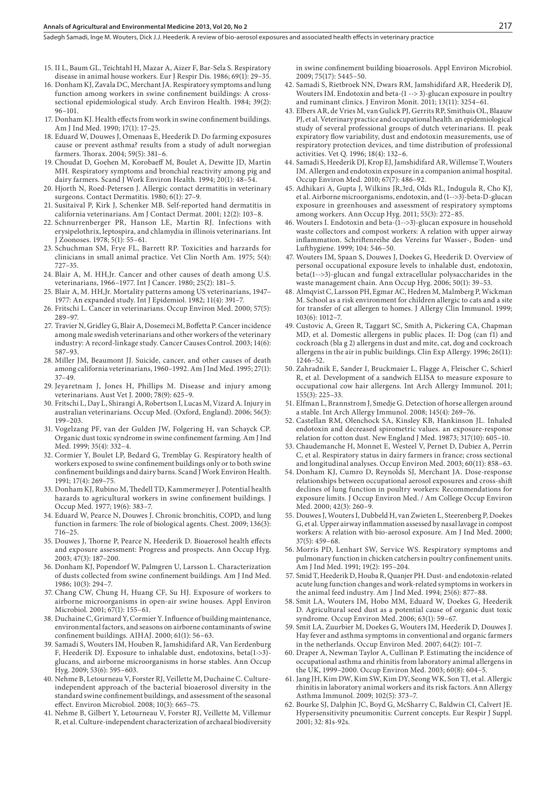#### **Annals of Agricultural and Environmental Medicine 2013, Vol 20, No 2**

Sadegh Samadi, Inge M. Wouters, Dick J.J. Heederik . A review of bio-aerosol exposures and associated health effects in veterinary practice

- 15. II L, Baum GL, Teichtahl H, Mazar A, Aizer F, Bar-Sela S. Respiratory disease in animal house workers. Eur J Respir Dis. 1986; 69(1): 29–35.
- 16. Donham KJ, Zavala DC, Merchant JA. Respiratory symptoms and lung function among workers in swine confinement buildings: A crosssectional epidemiological study. Arch Environ Health. 1984; 39(2): 96–101.
- 17. Donham KJ. Health effects from work in swine confinement buildings. Am J Ind Med. 1990; 17(1): 17–25.
- 18. Eduard W, Douwes J, Omenaas E, Heederik D. Do farming exposures cause or prevent asthma? results from a study of adult norwegian farmers. Thorax. 2004; 59(5): 381–6.
- 19. Choudat D, Goehen M, Korobaeff M, Boulet A, Dewitte JD, Martin MH. Respiratory symptoms and bronchial reactivity among pig and dairy farmers. Scand J Work Environ Health. 1994; 20(1): 48–54.
- 20. Hjorth N, Roed-Petersen J. Allergic contact dermatitis in veterinary surgeons. Contact Dermatitis. 1980; 6(1): 27–9.
- 21. Susitaival P, Kirk J, Schenker MB. Self-reported hand dermatitis in california veterinarians. Am J Contact Dermat. 2001; 12(2): 103–8.
- 22. Schnurrenberger PR, Hanson LE, Martin RJ. Infections with erysipelothrix, leptospira, and chlamydia in illinois veterinarians. Int J Zoonoses. 1978; 5(1): 55–61.
- 23. Schuchman SM, Frye FL, Barrett RP. Toxicities and harzards for clinicians in small animal practice. Vet Clin North Am. 1975; 5(4): 727–35.
- 24. Blair A, M. HH,Jr. Cancer and other causes of death among U.S. veterinarians, 1966–1977. Int J Cancer. 1980; 25(2): 181–5.
- 25. Blair A, M. HH,Jr. Mortality patterns among US veterinarians, 1947– 1977: An expanded study. Int J Epidemiol. 1982; 11(4): 391–7.
- 26. Fritschi L. Cancer in veterinarians. Occup Environ Med. 2000; 57(5): 289–97.
- 27. Travier N, Gridley G, Blair A, Dosemeci M, Boffetta P. Cancer incidence among male swedish veterinarians and other workers of the veterinary industry: A record-linkage study. Cancer Causes Control. 2003; 14(6): 587–93.
- 28. Miller JM, Beaumont JJ. Suicide, cancer, and other causes of death among california veterinarians, 1960–1992. Am J Ind Med. 1995; 27(1): 37–49.
- 29. Jeyaretnam J, Jones H, Phillips M. Disease and injury among veterinarians. Aust Vet J. 2000; 78(9): 625–9.
- 30. Fritschi L, Day L, Shirangi A, Robertson I, Lucas M, Vizard A. Injury in australian veterinarians. Occup Med. (Oxford, England). 2006; 56(3): 199–203.
- 31. Vogelzang PF, van der Gulden JW, Folgering H, van Schayck CP. Organic dust toxic syndrome in swine confinement farming. Am J Ind Med. 1999; 35(4): 332–4.
- 32. Cormier Y, Boulet LP, Bedard G, Tremblay G. Respiratory health of workers exposed to swine confinement buildings only or to both swine confinement buildings and dairy barns. Scand J Work Environ Health. 1991; 17(4): 269–75.
- 33. Donham KJ, Rubino M, Thedell TD, Kammermeyer J. Potential health hazards to agricultural workers in swine confinement buildings. J Occup Med. 1977; 19(6): 383–7.
- 34. Eduard W, Pearce N, Douwes J. Chronic bronchitis, COPD, and lung function in farmers: The role of biological agents. Chest. 2009; 136(3): 716–25.
- 35. Douwes J, Thorne P, Pearce N, Heederik D. Bioaerosol health effects and exposure assessment: Progress and prospects. Ann Occup Hyg. 2003; 47(3): 187–200.
- 36. Donham KJ, Popendorf W, Palmgren U, Larsson L. Characterization of dusts collected from swine confinement buildings. Am J Ind Med. 1986; 10(3): 294–7.
- 37. Chang CW, Chung H, Huang CF, Su HJ. Exposure of workers to airborne microorganisms in open-air swine houses. Appl Environ Microbiol. 2001; 67(1): 155–61.
- 38. Duchaine C, Grimard Y, Cormier Y. Influence of building maintenance, environmental factors, and seasons on airborne contaminants of swine confinement buildings. AIHAJ. 2000; 61(1): 56–63.
- 39. Samadi S, Wouters IM, Houben R, Jamshidifard AR, Van Eerdenburg F, Heederik DJ. Exposure to inhalable dust, endotoxins, beta(1->3) glucans, and airborne microorganisms in horse stables. Ann Occup Hyg. 2009; 53(6): 595–603.
- 40. Nehme B, Letourneau V, Forster RJ, Veillette M, Duchaine C. Cultureindependent approach of the bacterial bioaerosol diversity in the standard swine confinement buildings, and assessment of the seasonal effect. Environ Microbiol. 2008; 10(3): 665–75.
- 41. Nehme B, Gilbert Y, Letourneau V, Forster RJ, Veillette M, Villemur R, et al. Culture-independent characterization of archaeal biodiversity

in swine confinement building bioaerosols. Appl Environ Microbiol. 2009; 75(17): 5445–50.

- 42. Samadi S, Rietbroek NN, Dwars RM, Jamshidifard AR, Heederik DJ, Wouters IM. Endotoxin and beta-(1 --> 3)-glucan exposure in poultry and ruminant clinics. J Environ Monit. 2011; 13(11): 3254–61.
- 43. Elbers AR, de Vries M, van Gulick PJ, Gerrits RP, Smithuis OL, Blaauw PJ, et al. Veterinary practice and occupational health. an epidemiological study of several professional groups of dutch veterinarians. II. peak expiratory flow variability, dust and endotoxin measurements, use of respiratory protection devices, and time distribution of professional activities. Vet Q. 1996; 18(4): 132–6.
- 44. Samadi S, Heederik DJ, Krop EJ, Jamshidifard AR, Willemse T, Wouters IM. Allergen and endotoxin exposure in a companion animal hospital. Occup Environ Med. 2010; 67(7): 486–92.
- 45. Adhikari A, Gupta J, Wilkins JR,3rd, Olds RL, Indugula R, Cho KJ, et al. Airborne microorganisms, endotoxin, and (1-->3)-beta-D-glucan exposure in greenhouses and assessment of respiratory symptoms among workers. Ann Occup Hyg. 2011; 55(3): 272–85.
- 46. Wouters I. Endotoxin and beta-(1-->3)-glucan exposure in household waste collectors and compost workers: A relation with upper airway inflammation. Schriftenreihe des Vereins fur Wasser-, Boden- und Lufthygiene. 1999; 104: 546–50.
- 47. Wouters IM, Spaan S, Douwes J, Doekes G, Heederik D. Overview of personal occupational exposure levels to inhalable dust, endotoxin, beta(1-->3)-glucan and fungal extracellular polysaccharides in the waste management chain. Ann Occup Hyg. 2006; 50(1): 39–53.
- 48. Almqvist C, Larsson PH, Egmar AC, Hedren M, Malmberg P, Wickman M. School as a risk environment for children allergic to cats and a site for transfer of cat allergen to homes. J Allergy Clin Immunol. 1999; 103(6): 1012–7.
- 49. Custovic A, Green R, Taggart SC, Smith A, Pickering CA, Chapman MD, et al. Domestic allergens in public places. II: Dog (can f1) and cockroach (bla g 2) allergens in dust and mite, cat, dog and cockroach allergens in the air in public buildings. Clin Exp Allergy. 1996; 26(11): 1246–52.
- 50. Zahradnik E, Sander I, Bruckmaier L, Flagge A, Fleischer C, Schierl R, et al. Development of a sandwich ELISA to measure exposure to occupational cow hair allergens. Int Arch Allergy Immunol. 2011; 155(3): 225–33.
- 51. Elfman L, Brannstrom J, Smedje G. Detection of horse allergen around a stable. Int Arch Allergy Immunol. 2008; 145(4): 269–76.
- 52. Castellan RM, Olenchock SA, Kinsley KB, Hankinson JL. Inhaled endotoxin and decreased spirometric values. an exposure-response relation for cotton dust. New England J Med. 19873; 317(10): 605–10.
- 53. Chaudemanche H, Monnet E, Westeel V, Pernet D, Dubiez A, Perrin C, et al. Respiratory status in dairy farmers in france; cross sectional and longitudinal analyses. Occup Environ Med. 2003; 60(11): 858–63.
- 54. Donham KJ, Cumro D, Reynolds SJ, Merchant JA. Dose-response relationships between occupational aerosol exposures and cross-shift declines of lung function in poultry workers: Recommendations for exposure limits. J Occup Environ Med. / Am College Occup Environ Med. 2000; 42(3): 260–9.
- 55. Douwes J, Wouters I, Dubbeld H, van Zwieten L, Steerenberg P, Doekes G, et al. Upper airway inflammation assessed by nasal lavage in compost workers: A relation with bio-aerosol exposure. Am J Ind Med. 2000; 37(5): 459–68.
- 56. Morris PD, Lenhart SW, Service WS. Respiratory symptoms and pulmonary function in chicken catchers in poultry confinement units. Am J Ind Med. 1991; 19(2): 195–204.
- 57. Smid T, Heederik D, Houba R, Quanjer PH. Dust- and endotoxin-related acute lung function changes and work-related symptoms in workers in the animal feed industry. Am J Ind Med. 1994; 25(6): 877–88.
- 58. Smit LA, Wouters IM, Hobo MM, Eduard W, Doekes G, Heederik D. Agricultural seed dust as a potential cause of organic dust toxic syndrome. Occup Environ Med. 2006; 63(1): 59–67.
- 59. Smit LA, Zuurbier M, Doekes G, Wouters IM, Heederik D, Douwes J. Hay fever and asthma symptoms in conventional and organic farmers in the netherlands. Occup Environ Med. 2007; 64(2): 101–7.
- 60. Draper A, Newman Taylor A, Cullinan P. Estimating the incidence of occupational asthma and rhinitis from laboratory animal allergens in the UK, 1999–2000. Occup Environ Med. 2003; 60(8): 604–5.
- 61. Jang JH, Kim DW, Kim SW, Kim DY, Seong WK, Son TJ, et al. Allergic rhinitis in laboratory animal workers and its risk factors. Ann Allergy Asthma Immunol. 2009; 102(5): 373–7.
- 62. Bourke SJ, Dalphin JC, Boyd G, McSharry C, Baldwin CI, Calvert JE. Hypersensitivity pneumonitis: Current concepts. Eur Respir J Suppl. 2001; 32: 81s-92s.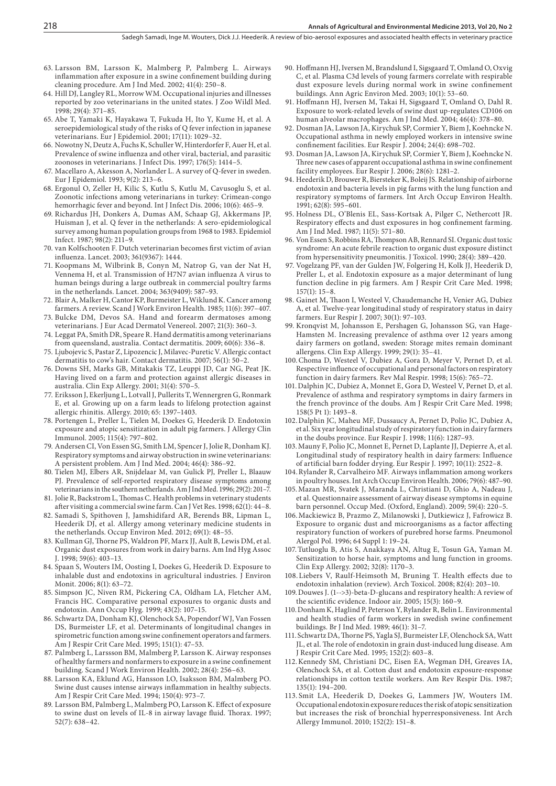- 63. Larsson BM, Larsson K, Malmberg P, Palmberg L. Airways inflammation after exposure in a swine confinement building during cleaning procedure. Am J Ind Med. 2002; 41(4): 250–8.
- 64. Hill DJ, Langley RL, Morrow WM. Occupational injuries and illnesses reported by zoo veterinarians in the united states. J Zoo Wildl Med. 1998; 29(4): 371–85.
- 65. Abe T, Yamaki K, Hayakawa T, Fukuda H, Ito Y, Kume H, et al. A seroepidemiological study of the risks of Q fever infection in japanese veterinarians. Eur J Epidemiol. 2001; 17(11): 1029–32.
- 66. Nowotny N, Deutz A, Fuchs K, Schuller W, Hinterdorfer F, Auer H, et al. Prevalence of swine influenza and other viral, bacterial, and parasitic zoonoses in veterinarians. J Infect Dis. 1997; 176(5): 1414–5.
- 67. Macellaro A, Akesson A, Norlander L. A survey of Q-fever in sweden. Eur J Epidemiol. 1993; 9(2): 213–6.
- 68. Ergonul O, Zeller H, Kilic S, Kutlu S, Kutlu M, Cavusoglu S, et al. Zoonotic infections among veterinarians in turkey: Crimean-congo hemorrhagic fever and beyond. Int J Infect Dis. 2006; 10(6): 465–9.
- 69. Richardus JH, Donkers A, Dumas AM, Schaap GJ, Akkermans JP, Huisman J, et al. Q fever in the netherlands: A sero-epidemiological survey among human population groups from 1968 to 1983. Epidemiol Infect. 1987; 98(2): 211–9.
- 70. van Kolfschooten F. Dutch veterinarian becomes first victim of avian influenza. Lancet. 2003; 361(9367): 1444.
- 71. Koopmans M, Wilbrink B, Conyn M, Natrop G, van der Nat H, Vennema H, et al. Transmission of H7N7 avian influenza A virus to human beings during a large outbreak in commercial poultry farms in the netherlands. Lancet. 2004; 363(9409): 587–93.
- 72. Blair A, Malker H, Cantor KP, Burmeister L, Wiklund K. Cancer among farmers. A review. Scand J Work Environ Health. 1985; 11(6): 397–407.
- 73. Bulcke DM, Devos SA. Hand and forearm dermatoses among veterinarians. J Eur Acad Dermatol Venereol. 2007; 21(3): 360–3.
- 74. Leggat PA, Smith DR, Speare R. Hand dermatitis among veterinarians from queensland, australia. Contact dermatitis. 2009; 60(6): 336–8.
- 75. Ljubojevic S, Pastar Z, Lipozencic J, Milavec-Puretic V. Allergic contact dermatitis to cow's hair. Contact dermatitis. 2007; 56(1): 50–2.
- 76. Downs SH, Marks GB, Mitakakis TZ, Leuppi JD, Car NG, Peat JK. Having lived on a farm and protection against allergic diseases in australia. Clin Exp Allergy. 2001; 31(4): 570–5.
- 77. Eriksson J, Ekerljung L, Lotvall J, Pullerits T, Wennergren G, Ronmark E, et al. Growing up on a farm leads to lifelong protection against allergic rhinitis. Allergy. 2010; 65: 1397–1403.
- 78. Portengen L, Preller L, Tielen M, Doekes G, Heederik D. Endotoxin exposure and atopic sensitization in adult pig farmers. J Allergy Clin Immunol. 2005; 115(4): 797–802.
- 79. Andersen CI, Von Essen SG, Smith LM, Spencer J, Jolie R, Donham KJ. Respiratory symptoms and airway obstruction in swine veterinarians: A persistent problem. Am J Ind Med. 2004; 46(4): 386–92.
- 80. Tielen MJ, Elbers AR, Snijdelaar M, van Gulick PJ, Preller L, Blaauw PJ. Prevalence of self-reported respiratory disease symptoms among veterinarians in the southern netherlands. Am J Ind Med. 1996; 29(2): 201–7.
- 81. Jolie R, Backstrom L, Thomas C. Health problems in veterinary students after visiting a commercial swine farm. Can J Vet Res. 1998; 62(1): 44–8.
- 82. Samadi S, Spithoven J, Jamshidifard AR, Berends BR, Lipman L, Heederik DJ, et al. Allergy among veterinary medicine students in the netherlands. Occup Environ Med. 2012; 69(1): 48–55.
- 83. Kullman GJ, Thorne PS, Waldron PF, Marx JJ, Ault B, Lewis DM, et al. Organic dust exposures from work in dairy barns. Am Ind Hyg Assoc J. 1998; 59(6): 403–13.
- 84. Spaan S, Wouters IM, Oosting I, Doekes G, Heederik D. Exposure to inhalable dust and endotoxins in agricultural industries. J Environ Monit. 2006; 8(1): 63–72.
- 85. Simpson JC, Niven RM, Pickering CA, Oldham LA, Fletcher AM, Francis HC. Comparative personal exposures to organic dusts and endotoxin. Ann Occup Hyg. 1999; 43(2): 107–15.
- 86. Schwartz DA, Donham KJ, Olenchock SA, Popendorf WJ, Van Fossen DS, Burmeister LF, et al. Determinants of longitudinal changes in spirometric function among swine confinement operators and farmers. Am J Respir Crit Care Med. 1995; 151(1): 47–53.
- 87. Palmberg L, Larssson BM, Malmberg P, Larsson K. Airway responses of healthy farmers and nonfarmers to exposure in a swine confinement building. Scand J Work Environ Health. 2002; 28(4): 256–63.
- 88. Larsson KA, Eklund AG, Hansson LO, Isaksson BM, Malmberg PO. Swine dust causes intense airways inflammation in healthy subjects. Am J Respir Crit Care Med. 1994; 150(4): 973–7.
- 89. Larsson BM, Palmberg L, Malmberg PO, Larsson K. Effect of exposure to swine dust on levels of IL-8 in airway lavage fluid. Thorax. 1997; 52(7): 638–42.
- 90. Hoffmann HJ, Iversen M, Brandslund I, Sigsgaard T, Omland O, Oxvig C, et al. Plasma C3d levels of young farmers correlate with respirable dust exposure levels during normal work in swine confinement buildings. Ann Agric Environ Med. 2003; 10(1): 53–60.
- 91. Hoffmann HJ, Iversen M, Takai H, Sigsgaard T, Omland O, Dahl R. Exposure to work-related levels of swine dust up-regulates CD106 on human alveolar macrophages. Am J Ind Med. 2004; 46(4): 378–80.
- 92. Dosman JA, Lawson JA, Kirychuk SP, Cormier Y, Biem J, Koehncke N. Occupational asthma in newly employed workers in intensive swine confinement facilities. Eur Respir J. 2004; 24(4): 698–702.
- 93. Dosman JA, Lawson JA, Kirychuk SP, Cormier Y, Biem J, Koehncke N. Three new cases of apparent occupational asthma in swine confinement facility employees. Eur Respir J. 2006; 28(6): 1281–2.
- 94. Heederik D, Brouwer R, Biersteker K, Boleij JS. Relationship of airborne endotoxin and bacteria levels in pig farms with the lung function and respiratory symptoms of farmers. Int Arch Occup Environ Health. 1991; 62(8): 595–601.
- 95. Holness DL, O'Blenis EL, Sass-Kortsak A, Pilger C, Nethercott JR. Respiratory effects and dust exposures in hog confinement farming. Am J Ind Med. 1987; 11(5): 571–80.
- 96. Von Essen S, Robbins RA, Thompson AB, Rennard SI. Organic dust toxic syndrome: An acute febrile reaction to organic dust exposure distinct from hypersensitivity pneumonitis. J Toxicol. 1990; 28(4): 389–420.
- 97. Vogelzang PF, van der Gulden JW, Folgering H, Kolk JJ, Heederik D, Preller L, et al. Endotoxin exposure as a major determinant of lung function decline in pig farmers. Am J Respir Crit Care Med. 1998; 157(1): 15–8.
- 98. Gainet M, Thaon I, Westeel V, Chaudemanche H, Venier AG, Dubiez A, et al. Twelve-year longitudinal study of respiratory status in dairy farmers. Eur Respir J. 2007; 30(1): 97–103.
- 99. Kronqvist M, Johansson E, Pershagen G, Johansson SG, van Hage-Hamsten M. Increasing prevalence of asthma over 12 years among dairy farmers on gotland, sweden: Storage mites remain dominant allergens. Clin Exp Allergy. 1999; 29(1): 35–41.
- 100.Choma D, Westeel V, Dubiez A, Gora D, Meyer V, Pernet D, et al. Respective influence of occupational and personal factors on respiratory function in dairy farmers. Rev Mal Respir. 1998; 15(6): 765–72.
- 101.Dalphin JC, Dubiez A, Monnet E, Gora D, Westeel V, Pernet D, et al. Prevalence of asthma and respiratory symptoms in dairy farmers in the french province of the doubs. Am J Respir Crit Care Med. 1998; 158(5 Pt 1): 1493–8.
- 102.Dalphin JC, Maheu MF, Dussaucy A, Pernet D, Polio JC, Dubiez A, et al. Six year longitudinal study of respiratory function in dairy farmers in the doubs province. Eur Respir J. 1998; 11(6): 1287–93.
- 103.Mauny F, Polio JC, Monnet E, Pernet D, Laplante JJ, Depierre A, et al. Longitudinal study of respiratory health in dairy farmers: Influence of artificial barn fodder drying. Eur Respir J. 1997; 10(11): 2522–8.
- 104.Rylander R, Carvalheiro MF. Airways inflammation among workers in poultry houses. Int Arch Occup Environ Health. 2006; 79(6): 487–90.
- 105.Mazan MR, Svatek J, Maranda L, Christiani D, Ghio A, Nadeau J, et al. Questionnaire assessment of airway disease symptoms in equine barn personnel. Occup Med. (Oxford, England). 2009; 59(4): 220–5.
- 106.Mackiewicz B, Prazmo Z, Milanowski J, Dutkiewicz J, Fafrowicz B. Exposure to organic dust and microorganisms as a factor affecting respiratory function of workers of purebred horse farms. Pneumonol Alergol Pol. 1996; 64 Suppl 1: 19–24.
- 107.Tutluoglu B, Atis S, Anakkaya AN, Altug E, Tosun GA, Yaman M. Sensitization to horse hair, symptoms and lung function in grooms. Clin Exp Allergy. 2002; 32(8): 1170–3.
- 108. Liebers V, Raulf-Heimsoth M, Bruning T. Health effects due to endotoxin inhalation (review). Arch Toxicol. 2008; 82(4): 203–10.
- 109.Douwes J. (1-->3)-beta-D-glucans and respiratory health: A review of the scientific evidence. Indoor air. 2005; 15(3): 160–9.
- 110.Donham K, Haglind P, Peterson Y, Rylander R, Belin L. Environmental and health studies of farm workers in swedish swine confinement buildings. Br J Ind Med. 1989; 46(1): 31–7.
- 111. Schwartz DA, Thorne PS, Yagla SJ, Burmeister LF, Olenchock SA, Watt JL, et al. The role of endotoxin in grain dust-induced lung disease. Am J Respir Crit Care Med. 1995; 152(2): 603–8.
- 112.Kennedy SM, Christiani DC, Eisen EA, Wegman DH, Greaves IA, Olenchock SA, et al. Cotton dust and endotoxin exposure-response relationships in cotton textile workers. Am Rev Respir Dis. 1987; 135(1): 194–200.
- 113. Smit LA, Heederik D, Doekes G, Lammers JW, Wouters IM. Occupational endotoxin exposure reduces the risk of atopic sensitization but increases the risk of bronchial hyperresponsiveness. Int Arch Allergy Immunol. 2010; 152(2): 151–8.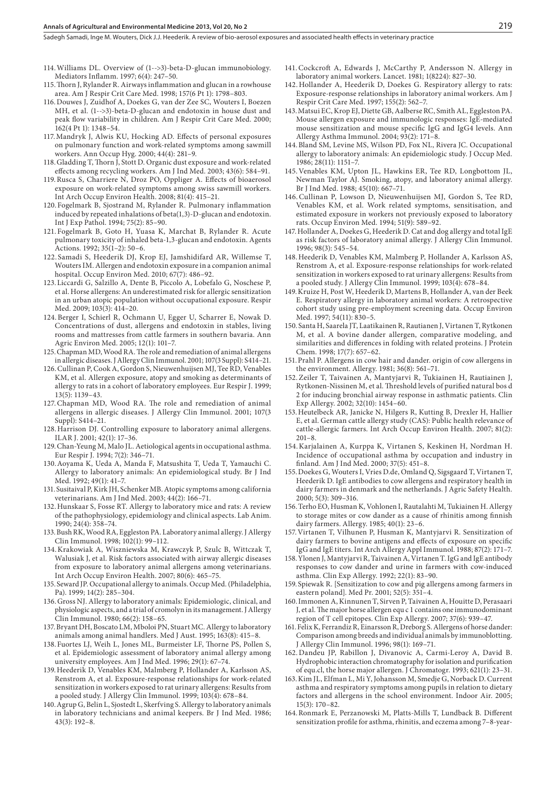Sadegh Samadi, Inge M. Wouters, Dick J.J. Heederik . A review of bio-aerosol exposures and associated health effects in veterinary practice

- 114.Williams DL. Overview of (1-->3)-beta-D-glucan immunobiology. Mediators Inflamm. 1997; 6(4): 247–50.
- 115.Thorn J, Rylander R. Airways inflammation and glucan in a rowhouse area. Am J Respir Crit Care Med. 1998; 157(6 Pt 1): 1798–803.
- 116.Douwes J, Zuidhof A, Doekes G, van der Zee SC, Wouters I, Boezen MH, et al. (1-->3)-beta-D-glucan and endotoxin in house dust and peak flow variability in children. Am J Respir Crit Care Med. 2000; 162(4 Pt 1): 1348–54.
- 117.Mandryk J, Alwis KU, Hocking AD. Effects of personal exposures on pulmonary function and work-related symptoms among sawmill workers. Ann Occup Hyg. 2000; 44(4): 281–9.
- 118.Gladding T, Thorn J, Stott D. Organic dust exposure and work-related effects among recycling workers. Am J Ind Med. 2003; 43(6): 584–91.
- 119.Rusca S, Charriere N, Droz PO, Oppliger A. Effects of bioaerosol exposure on work-related symptoms among swiss sawmill workers. Int Arch Occup Environ Health. 2008; 81(4): 415–21.
- 120.Fogelmark B, Sjostrand M, Rylander R. Pulmonary inflammation induced by repeated inhalations of beta(1,3)-D-glucan and endotoxin. Int J Exp Pathol. 1994; 75(2): 85–90.
- 121. Fogelmark B, Goto H, Yuasa K, Marchat B, Rylander R. Acute pulmonary toxicity of inhaled beta-1,3-glucan and endotoxin. Agents Actions. 1992; 35(1–2): 50–6.
- 122. Samadi S, Heederik DJ, Krop EJ, Jamshidifard AR, Willemse T, Wouters IM. Allergen and endotoxin exposure in a companion animal hospital. Occup Environ Med. 2010; 67(7): 486–92.
- 123.Liccardi G, Salzillo A, Dente B, Piccolo A, Lobefalo G, Noschese P, et al. Horse allergens: An underestimated risk for allergic sensitization in an urban atopic population without occupational exposure. Respir Med. 2009; 103(3): 414–20.
- 124.Berger I, Schierl R, Ochmann U, Egger U, Scharrer E, Nowak D. Concentrations of dust, allergens and endotoxin in stables, living rooms and mattresses from cattle farmers in southern bavaria. Ann Agric Environ Med. 2005; 12(1): 101–7.
- 125.Chapman MD, Wood RA. The role and remediation of animal allergens in allergic diseases. J Allergy Clin Immunol. 2001; 107(3 Suppl): S414–21.
- 126.Cullinan P, Cook A, Gordon S, Nieuwenhuijsen MJ, Tee RD, Venables KM, et al. Allergen exposure, atopy and smoking as determinants of allergy to rats in a cohort of laboratory employees. Eur Respir J. 1999; 13(5): 1139–43.
- 127.Chapman MD, Wood RA. The role and remediation of animal allergens in allergic diseases. J Allergy Clin Immunol. 2001; 107(3 Suppl): S414–21.
- 128.Harrison DJ. Controlling exposure to laboratory animal allergens. ILAR J. 2001; 42(1): 17–36.
- 129.Chan-Yeung M, Malo JL. Aetiological agents in occupational asthma. Eur Respir J. 1994; 7(2): 346–71.
- 130.Aoyama K, Ueda A, Manda F, Matsushita T, Ueda T, Yamauchi C. Allergy to laboratory animals: An epidemiological study. Br J Ind Med. 1992; 49(1): 41–7.
- 131.Susitaival P, Kirk JH, Schenker MB. Atopic symptoms among california veterinarians. Am J Ind Med. 2003; 44(2): 166–71.
- 132.Hunskaar S, Fosse RT. Allergy to laboratory mice and rats: A review of the pathophysiology, epidemiology and clinical aspects. Lab Anim. 1990; 24(4): 358–74.
- 133.Bush RK, Wood RA, Eggleston PA. Laboratory animal allergy. J Allergy Clin Immunol. 1998; 102(1): 99–112.
- 134.Krakowiak A, Wiszniewska M, Krawczyk P, Szulc B, Wittczak T, Walusiak J, et al. Risk factors associated with airway allergic diseases from exposure to laboratory animal allergens among veterinarians. Int Arch Occup Environ Health. 2007; 80(6): 465–75.
- 135.Seward JP. Occupational allergy to animals. Occup Med. (Philadelphia, Pa). 1999; 14(2): 285–304.
- 136.Gross NJ. Allergy to laboratory animals: Epidemiologic, clinical, and physiologic aspects, and a trial of cromolyn in its management. J Allergy Clin Immunol. 1980; 66(2): 158–65.
- 137.Bryant DH, Boscato LM, Mboloi PN, Stuart MC. Allergy to laboratory animals among animal handlers. Med J Aust. 1995; 163(8): 415–8.
- 138.Fuortes LJ, Weih L, Jones ML, Burmeister LF, Thorne PS, Pollen S, et al. Epidemiologic assessment of laboratory animal allergy among university employees. Am J Ind Med. 1996; 29(1): 67–74.
- 139.Heederik D, Venables KM, Malmberg P, Hollander A, Karlsson AS, Renstrom A, et al. Exposure-response relationships for work-related sensitization in workers exposed to rat urinary allergens: Results from a pooled study. J Allergy Clin Immunol. 1999; 103(4): 678–84.
- 140.Agrup G, Belin L, Sjostedt L, Skerfving S. Allergy to laboratory animals in laboratory technicians and animal keepers. Br J Ind Med. 1986; 43(3): 192–8.
- 141.Cockcroft A, Edwards J, McCarthy P, Andersson N. Allergy in laboratory animal workers. Lancet. 1981; 1(8224): 827–30.
- 142.Hollander A, Heederik D, Doekes G. Respiratory allergy to rats: Exposure-response relationships in laboratory animal workers. Am J Respir Crit Care Med. 1997; 155(2): 562–7.
- 143.Matsui EC, Krop EJ, Diette GB, Aalberse RC, Smith AL, Eggleston PA. Mouse allergen exposure and immunologic responses: IgE-mediated mouse sensitization and mouse specific IgG and IgG4 levels. Ann Allergy Asthma Immunol. 2004; 93(2): 171–8.
- 144.Bland SM, Levine MS, Wilson PD, Fox NL, Rivera JC. Occupational allergy to laboratory animals: An epidemiologic study. J Occup Med. 1986; 28(11): 1151–7.
- 145.Venables KM, Upton JL, Hawkins ER, Tee RD, Longbottom JL, Newman Taylor AJ. Smoking, atopy, and laboratory animal allergy. Br J Ind Med. 1988; 45(10): 667–71.
- 146.Cullinan P, Lowson D, Nieuwenhuijsen MJ, Gordon S, Tee RD, Venables KM, et al. Work related symptoms, sensitisation, and estimated exposure in workers not previously exposed to laboratory rats. Occup Environ Med. 1994; 51(9): 589–92.
- 147.Hollander A, Doekes G, Heederik D. Cat and dog allergy and total IgE as risk factors of laboratory animal allergy. J Allergy Clin Immunol. 1996; 98(3): 545–54.
- 148.Heederik D, Venables KM, Malmberg P, Hollander A, Karlsson AS, Renstrom A, et al. Exposure-response relationships for work-related sensitization in workers exposed to rat urinary allergens: Results from a pooled study. J Allergy Clin Immunol. 1999; 103(4): 678–84.
- 149.Kruize H, Post W, Heederik D, Martens B, Hollander A, van der Beek E. Respiratory allergy in laboratory animal workers: A retrospective cohort study using pre-employment screening data. Occup Environ Med. 1997; 54(11): 830–5.
- 150. Santa H, Saarela JT, Laatikainen R, Rautianen J, Virtanen T, Rytkonen M, et al. A bovine dander allergen, comparative modeling, and similarities and differences in folding with related proteins. J Protein Chem. 1998; 17(7): 657–62.
- 151.Prahl P. Allergens in cow hair and dander. origin of cow allergens in the environment. Allergy. 1981; 36(8): 561–71.
- 152.Zeiler T, Taivainen A, Mantyjarvi R, Tukiainen H, Rautiainen J, Rytkonen-Nissinen M, et al. Threshold levels of purified natural bos d 2 for inducing bronchial airway response in asthmatic patients. Clin Exp Allergy. 2002; 32(10): 1454–60.
- 153.Heutelbeck AR, Janicke N, Hilgers R, Kutting B, Drexler H, Hallier E, et al. German cattle allergy study (CAS): Public health relevance of cattle-allergic farmers. Int Arch Occup Environ Health. 2007; 81(2): 201–8.
- 154.Karjalainen A, Kurppa K, Virtanen S, Keskinen H, Nordman H. Incidence of occupational asthma by occupation and industry in finland. Am J Ind Med. 2000; 37(5): 451–8.
- 155.Doekes G, Wouters I, Vries D.de, Omland Q, Sigsgaard T, Virtanen T, Heederik D. IgE antibodies to cow allergens and respiratory health in dairy farmers in denmark and the netherlands. J Agric Safety Health. 2000; 5(3): 309–316.
- 156.Terho EO, Husman K, Vohlonen I, Rautalahti M, Tukiainen H. Allergy to storage mites or cow dander as a cause of rhinitis among finnish dairy farmers. Allergy. 1985; 40(1): 23–6.
- 157.Virtanen T, Vilhunen P, Husman K, Mantyjarvi R. Sensitization of dairy farmers to bovine antigens and effects of exposure on specific IgG and IgE titers. Int Arch Allergy Appl Immunol. 1988; 87(2): 171–7.
- 158.Ylonen J, Mantyjarvi R, Taivainen A, Virtanen T. IgG and IgE antibody responses to cow dander and urine in farmers with cow-induced asthma. Clin Exp Allergy. 1992; 22(1): 83–90.
- 159. Spiewak R. [Sensitization to cow and pig allergens among farmers in eastern poland]. Med Pr. 2001; 52(5): 351–4.
- 160.Immonen A, Kinnunen T, Sirven P, Taivainen A, Houitte D, Perasaari J, et al. The major horse allergen equ c 1 contains one immunodominant region of T cell epitopes. Clin Exp Allergy. 2007; 37(6): 939–47.
- 161.Felix K, Ferrandiz R, Einarsson R, Dreborg S. Allergens of horse dander: Comparison among breeds and individual animals by immunoblotting. J Allergy Clin Immunol. 1996; 98(1): 169–71.
- 162.Dandeu JP, Rabillon J, Divanovic A, Carmi-Leroy A, David B. Hydrophobic interaction chromatography for isolation and purification of equ.cl, the horse major allergen. J Chromatogr. 1993; 621(1): 23–31.
- 163.Kim JL, Elfman L, Mi Y, Johansson M, Smedje G, Norback D. Current asthma and respiratory symptoms among pupils in relation to dietary factors and allergens in the school environment. Indoor Air. 2005; 15(3): 170–82.
- 164.Ronmark E, Perzanowski M, Platts-Mills T, Lundback B. Different sensitization profile for asthma, rhinitis, and eczema among 7–8-year-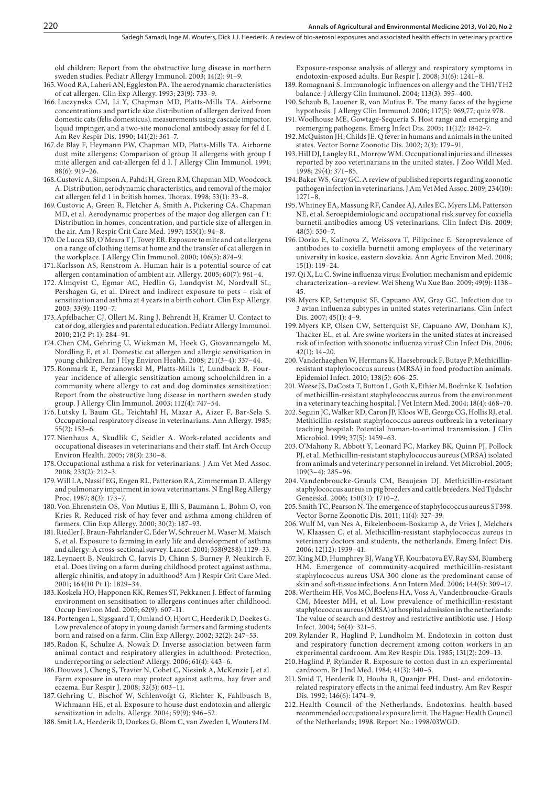old children: Report from the obstructive lung disease in northern sweden studies. Pediatr Allergy Immunol. 2003; 14(2): 91–9.

- 165.Wood RA, Laheri AN, Eggleston PA. The aerodynamic characteristics of cat allergen. Clin Exp Allergy. 1993; 23(9): 733–9.
- 166. Luczynska CM, Li Y, Chapman MD, Platts-Mills TA. Airborne concentrations and particle size distribution of allergen derived from domestic cats (felis domesticus). measurements using cascade impactor, liquid impinger, and a two-site monoclonal antibody assay for fel d I. Am Rev Respir Dis. 1990; 141(2): 361–7.
- 167.de Blay F, Heymann PW, Chapman MD, Platts-Mills TA. Airborne dust mite allergens: Comparison of group II allergens with group I mite allergen and cat-allergen fel d I. J Allergy Clin Immunol. 1991; 88(6): 919–26.
- 168.Custovic A, Simpson A, Pahdi H, Green RM, Chapman MD, Woodcock A. Distribution, aerodynamic characteristics, and removal of the major cat allergen fel d 1 in british homes. Thorax. 1998; 53(1): 33–8.
- 169.Custovic A, Green R, Fletcher A, Smith A, Pickering CA, Chapman MD, et al. Aerodynamic properties of the major dog allergen can f 1: Distribution in homes, concentration, and particle size of allergen in the air. Am J Respir Crit Care Med. 1997; 155(1): 94–8.
- 170.De Lucca SD, O'Meara T J, Tovey ER. Exposure to mite and cat allergens on a range of clothing items at home and the transfer of cat allergen in the workplace. J Allergy Clin Immunol. 2000; 106(5): 874–9.
- 171.Karlsson AS, Renstrom A. Human hair is a potential source of cat allergen contamination of ambient air. Allergy. 2005; 60(7): 961–4.
- 172.Almqvist C, Egmar AC, Hedlin G, Lundqvist M, Nordvall SL, Pershagen G, et al. Direct and indirect exposure to pets - risk of sensitization and asthma at 4 years in a birth cohort. Clin Exp Allergy. 2003; 33(9): 1190–7.
- 173.Apfelbacher CJ, Ollert M, Ring J, Behrendt H, Kramer U. Contact to cat or dog, allergies and parental education. Pediatr Allergy Immunol. 2010; 21(2 Pt 1): 284–91.
- 174.Chen CM, Gehring U, Wickman M, Hoek G, Giovannangelo M, Nordling E, et al. Domestic cat allergen and allergic sensitisation in young children. Int J Hyg Environ Health. 2008; 211(3–4): 337–44.
- 175.Ronmark E, Perzanowski M, Platts-Mills T, Lundback B. Fouryear incidence of allergic sensitization among schoolchildren in a community where allergy to cat and dog dominates sensitization: Report from the obstructive lung disease in northern sweden study group. J Allergy Clin Immunol. 2003; 112(4): 747–54.
- 176. Lutsky I, Baum GL, Teichtahl H, Mazar A, Aizer F, Bar-Sela S. Occupational respiratory disease in veterinarians. Ann Allergy. 1985; 55(2): 153–6.
- 177.Nienhaus A, Skudlik C, Seidler A. Work-related accidents and occupational diseases in veterinarians and their staff. Int Arch Occup Environ Health. 2005; 78(3): 230–8.
- 178.Occupational asthma a risk for veterinarians. J Am Vet Med Assoc. 2008; 233(2): 212–3.
- 179.Will LA, Nassif EG, Engen RL, Patterson RA, Zimmerman D. Allergy and pulmonary impairment in iowa veterinarians. N Engl Reg Allergy Proc. 1987; 8(3): 173–7.
- 180.Von Ehrenstein OS, Von Mutius E, Illi S, Baumann L, Bohm O, von Kries R. Reduced risk of hay fever and asthma among children of farmers. Clin Exp Allergy. 2000; 30(2): 187–93.
- 181.Riedler J, Braun-Fahrlander C, Eder W, Schreuer M, Waser M, Maisch S, et al. Exposure to farming in early life and development of asthma and allergy: A cross-sectional survey. Lancet. 2001; 358(9288): 1129–33.
- 182.Leynaert B, Neukirch C, Jarvis D, Chinn S, Burney P, Neukirch F, et al. Does living on a farm during childhood protect against asthma, allergic rhinitis, and atopy in adulthood? Am J Respir Crit Care Med. 2001; 164(10 Pt 1): 1829–34.
- 183.Koskela HO, Happonen KK, Remes ST, Pekkanen J. Effect of farming environment on sensitisation to allergens continues after childhood. Occup Environ Med. 2005; 62(9): 607–11.
- 184.Portengen L, Sigsgaard T, Omland O, Hjort C, Heederik D, Doekes G. Low prevalence of atopy in young danish farmers and farming students born and raised on a farm. Clin Exp Allergy. 2002; 32(2): 247–53.
- 185.Radon K, Schulze A, Nowak D. Inverse association between farm animal contact and respiratory allergies in adulthood: Protection, underreporting or selection? Allergy. 2006; 61(4): 443–6.
- 186.Douwes J, Cheng S, Travier N, Cohet C, Niesink A, McKenzie J, et al. Farm exposure in utero may protect against asthma, hay fever and eczema. Eur Respir J. 2008; 32(3): 603–11.
- 187.Gehring U, Bischof W, Schlenvoigt G, Richter K, Fahlbusch B, Wichmann HE, et al. Exposure to house dust endotoxin and allergic sensitization in adults. Allergy. 2004; 59(9): 946–52.
- 188. Smit LA, Heederik D, Doekes G, Blom C, van Zweden I, Wouters IM.

Exposure-response analysis of allergy and respiratory symptoms in endotoxin-exposed adults. Eur Respir J. 2008; 31(6): 1241–8.

- 189.Romagnani S. Immunologic influences on allergy and the TH1/TH2 balance. J Allergy Clin Immunol. 2004; 113(3): 395–400.
- 190. Schaub B, Lauener R, von Mutius E. The many faces of the hygiene hypothesis. J Allergy Clin Immunol. 2006; 117(5): 969,77; quiz 978.
- 191.Woolhouse ME, Gowtage-Sequeria S. Host range and emerging and reemerging pathogens. Emerg Infect Dis. 2005; 11(12): 1842–7.
- 192.McQuiston JH, Childs JE. Q fever in humans and animals in the united states. Vector Borne Zoonotic Dis. 2002; 2(3): 179–91.
- 193.Hill DJ, Langley RL, Morrow WM. Occupational injuries and illnesses reported by zoo veterinarians in the united states. J Zoo Wildl Med. 1998; 29(4): 371–85.
- 194.Baker WS, Gray GC. A review of published reports regarding zoonotic pathogen infection in veterinarians. J Am Vet Med Assoc. 2009; 234(10): 1271–8.
- 195.Whitney EA, Massung RF, Candee AJ, Ailes EC, Myers LM, Patterson NE, et al. Seroepidemiologic and occupational risk survey for coxiella burnetii antibodies among US veterinarians. Clin Infect Dis. 2009; 48(5): 550–7.
- 196.Dorko E, Kalinova Z, Weissova T, Pilipcinec E. Seroprevalence of antibodies to coxiella burnetii among employees of the veterinary university in kosice, eastern slovakia. Ann Agric Environ Med. 2008;  $15(1) \cdot 119 - 24$
- 197.Qi X, Lu C. Swine influenza virus: Evolution mechanism and epidemic characterization--a review. Wei Sheng Wu Xue Bao. 2009; 49(9): 1138– 45.
- 198.Myers KP, Setterquist SF, Capuano AW, Gray GC. Infection due to 3 avian influenza subtypes in united states veterinarians. Clin Infect Dis. 2007; 45(1): 4–9.
- 199.Myers KP, Olsen CW, Setterquist SF, Capuano AW, Donham KJ, Thacker EL, et al. Are swine workers in the united states at increased risk of infection with zoonotic influenza virus? Clin Infect Dis. 2006; 42(1): 14–20.
- 200.Vanderhaeghen W, Hermans K, Haesebrouck F, Butaye P. Methicillinresistant staphylococcus aureus (MRSA) in food production animals. Epidemiol Infect. 2010; 138(5): 606–25.
- 201.Weese JS, DaCosta T, Button L, Goth K, Ethier M, Boehnke K. Isolation of methicillin-resistant staphylococcus aureus from the environment in a veterinary teaching hospital. J Vet Intern Med. 2004; 18(4): 468–70.
- 202.Seguin JC, Walker RD, Caron JP, Kloos WE, George CG, Hollis RJ, et al. Methicillin-resistant staphylococcus aureus outbreak in a veterinary teaching hospital: Potential human-to-animal transmission. J Clin Microbiol. 1999; 37(5): 1459–63.
- 203.O'Mahony R, Abbott Y, Leonard FC, Markey BK, Quinn PJ, Pollock PJ, et al. Methicillin-resistant staphylococcus aureus (MRSA) isolated from animals and veterinary personnel in ireland. Vet Microbiol. 2005; 109(3–4): 285–96.
- 204. Vandenbroucke-Grauls CM, Beaujean DJ. Methicillin-resistant staphylococcus aureus in pig breeders and cattle breeders. Ned Tijdschr Geneeskd. 2006; 150(31): 1710–2.
- 205. Smith TC, Pearson N. The emergence of staphylococcus aureus ST398. Vector Borne Zoonotic Dis. 2011; 11(4): 327–39.
- 206.Wulf M, van Nes A, Eikelenboom-Boskamp A, de Vries J, Melchers W, Klaassen C, et al. Methicillin-resistant staphylococcus aureus in veterinary doctors and students, the netherlands. Emerg Infect Dis. 2006; 12(12): 1939–41.
- 207.King MD, Humphrey BJ, Wang YF, Kourbatova EV, Ray SM, Blumberg HM. Emergence of community-acquired methicillin-resistant staphylococcus aureus USA 300 clone as the predominant cause of skin and soft-tissue infections. Ann Intern Med. 2006; 144(5): 309–17.
- 208.Wertheim HF, Vos MC, Boelens HA, Voss A, Vandenbroucke-Grauls CM, Meester MH, et al. Low prevalence of methicillin-resistant staphylococcus aureus (MRSA) at hospital admission in the netherlands: The value of search and destroy and restrictive antibiotic use. J Hosp Infect. 2004; 56(4): 321–5.
- 209.Rylander R, Haglind P, Lundholm M. Endotoxin in cotton dust and respiratory function decrement among cotton workers in an experimental cardroom. Am Rev Respir Dis. 1985; 131(2): 209–13.
- 210.Haglind P, Rylander R. Exposure to cotton dust in an experimental cardroom. Br J Ind Med. 1984; 41(3): 340–5.
- 211. Smid T, Heederik D, Houba R, Quanjer PH. Dust- and endotoxinrelated respiratory effects in the animal feed industry. Am Rev Respir Dis. 1992; 146(6): 1474–9.
- 212.Health Council of the Netherlands. Endotoxins. health-based recommended occupational exposure limit. The Hague: Health Council of the Netherlands; 1998. Report No.: 1998/03WGD.